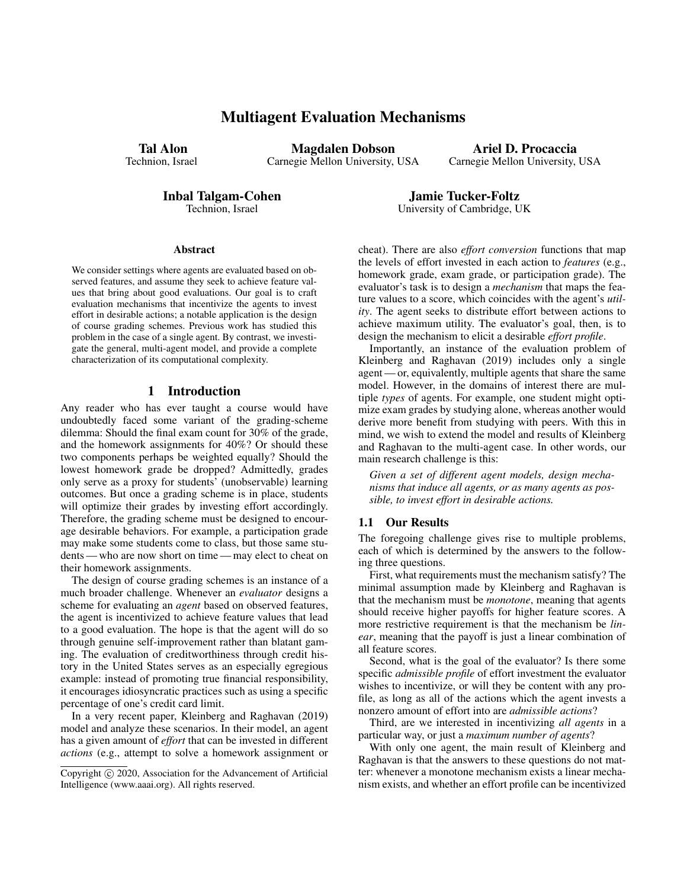## Multiagent Evaluation Mechanisms

Tal Alon Technion, Israel

Magdalen Dobson Carnegie Mellon University, USA

Ariel D. Procaccia Carnegie Mellon University, USA

Inbal Talgam-Cohen

Technion, Israel

#### Abstract

We consider settings where agents are evaluated based on observed features, and assume they seek to achieve feature values that bring about good evaluations. Our goal is to craft evaluation mechanisms that incentivize the agents to invest effort in desirable actions; a notable application is the design of course grading schemes. Previous work has studied this problem in the case of a single agent. By contrast, we investigate the general, multi-agent model, and provide a complete characterization of its computational complexity.

## 1 Introduction

Any reader who has ever taught a course would have undoubtedly faced some variant of the grading-scheme dilemma: Should the final exam count for 30% of the grade, and the homework assignments for 40%? Or should these two components perhaps be weighted equally? Should the lowest homework grade be dropped? Admittedly, grades only serve as a proxy for students' (unobservable) learning outcomes. But once a grading scheme is in place, students will optimize their grades by investing effort accordingly. Therefore, the grading scheme must be designed to encourage desirable behaviors. For example, a participation grade may make some students come to class, but those same students — who are now short on time — may elect to cheat on their homework assignments.

The design of course grading schemes is an instance of a much broader challenge. Whenever an *evaluator* designs a scheme for evaluating an *agent* based on observed features, the agent is incentivized to achieve feature values that lead to a good evaluation. The hope is that the agent will do so through genuine self-improvement rather than blatant gaming. The evaluation of creditworthiness through credit history in the United States serves as an especially egregious example: instead of promoting true financial responsibility, it encourages idiosyncratic practices such as using a specific percentage of one's credit card limit.

In a very recent paper, Kleinberg and Raghavan (2019) model and analyze these scenarios. In their model, an agent has a given amount of *effort* that can be invested in different *actions* (e.g., attempt to solve a homework assignment or

cheat). There are also *effort conversion* functions that map the levels of effort invested in each action to *features* (e.g., homework grade, exam grade, or participation grade). The evaluator's task is to design a *mechanism* that maps the feature values to a score, which coincides with the agent's *utility*. The agent seeks to distribute effort between actions to achieve maximum utility. The evaluator's goal, then, is to design the mechanism to elicit a desirable *effort profile*.

Jamie Tucker-Foltz University of Cambridge, UK

Importantly, an instance of the evaluation problem of Kleinberg and Raghavan (2019) includes only a single agent — or, equivalently, multiple agents that share the same model. However, in the domains of interest there are multiple *types* of agents. For example, one student might optimize exam grades by studying alone, whereas another would derive more benefit from studying with peers. With this in mind, we wish to extend the model and results of Kleinberg and Raghavan to the multi-agent case. In other words, our main research challenge is this:

*Given a set of different agent models, design mechanisms that induce all agents, or as many agents as possible, to invest effort in desirable actions.*

#### 1.1 Our Results

The foregoing challenge gives rise to multiple problems, each of which is determined by the answers to the following three questions.

First, what requirements must the mechanism satisfy? The minimal assumption made by Kleinberg and Raghavan is that the mechanism must be *monotone*, meaning that agents should receive higher payoffs for higher feature scores. A more restrictive requirement is that the mechanism be *linear*, meaning that the payoff is just a linear combination of all feature scores.

Second, what is the goal of the evaluator? Is there some specific *admissible profile* of effort investment the evaluator wishes to incentivize, or will they be content with any profile, as long as all of the actions which the agent invests a nonzero amount of effort into are *admissible actions*?

Third, are we interested in incentivizing *all agents* in a particular way, or just a *maximum number of agents*?

With only one agent, the main result of Kleinberg and Raghavan is that the answers to these questions do not matter: whenever a monotone mechanism exists a linear mechanism exists, and whether an effort profile can be incentivized

Copyright (c) 2020, Association for the Advancement of Artificial Intelligence (www.aaai.org). All rights reserved.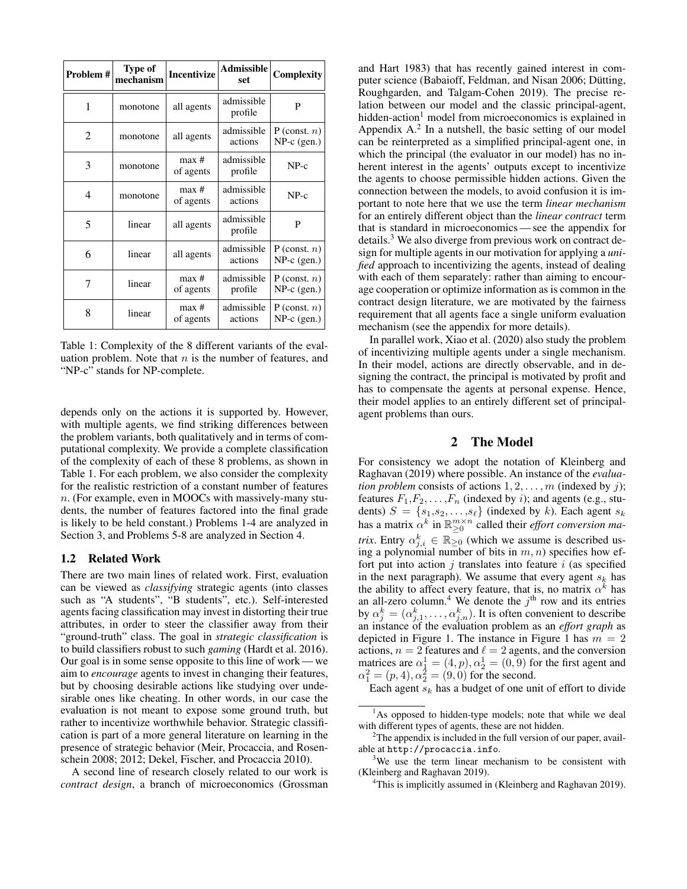| Problem # | Type of<br>mechanism | <b>Incentivize</b> | <b>Admissible</b><br>set. | Complexity                       |
|-----------|----------------------|--------------------|---------------------------|----------------------------------|
| 1         | monotone             | all agents         | admissible<br>profile     | P                                |
| 2         | monotone             | all agents         | admissible<br>actions     | P (const. $n$ )<br>$NP-c$ (gen.) |
| 3         | monotone             | max#<br>of agents  | admissible<br>profile     | $NP-c$                           |
| 4         | monotone             | max#<br>of agents  | admissible<br>actions     | $NP-c$                           |
| 5         | linear               | all agents         | admissible<br>profile     | P                                |
| 6         | linear               | all agents         | admissible<br>actions     | P (const. $n$ )<br>$NP-c$ (gen.) |
| 7         | linear               | max#<br>of agents  | admissible<br>profile     | P (const. $n$ )<br>$NP-c$ (gen.) |
| 8         | linear               | max#<br>of agents  | admissible<br>actions     | P (const. $n$ )<br>$NP-c$ (gen.) |

Table 1: Complexity of the 8 different variants of the evaluation problem. Note that  $n$  is the number of features, and "NP-c" stands for NP-complete.

depends only on the actions it is supported by. However, with multiple agents, we find striking differences between the problem variants, both qualitatively and in terms of computational complexity. We provide a complete classification of the complexity of each of these 8 problems, as shown in Table 1. For each problem, we also consider the complexity for the realistic restriction of a constant number of features n. (For example, even in MOOCs with massively-many students, the number of features factored into the final grade is likely to be held constant.) Problems 1-4 are analyzed in Section 3, and Problems 5-8 are analyzed in Section 4.

#### 1.2 Related Work

There are two main lines of related work. First, evaluation can be viewed as *classifying* strategic agents (into classes such as "A students", "B students", etc.). Self-interested agents facing classification may invest in distorting their true attributes, in order to steer the classifier away from their "ground-truth" class. The goal in *strategic classification* is to build classifiers robust to such *gaming* (Hardt et al. 2016). Our goal is in some sense opposite to this line of work — we aim to *encourage* agents to invest in changing their features, but by choosing desirable actions like studying over undesirable ones like cheating. In other words, in our case the evaluation is not meant to expose some ground truth, but rather to incentivize worthwhile behavior. Strategic classification is part of a more general literature on learning in the presence of strategic behavior (Meir, Procaccia, and Rosenschein 2008; 2012; Dekel, Fischer, and Procaccia 2010).

A second line of research closely related to our work is *contract design*, a branch of microeconomics (Grossman

and Hart 1983) that has recently gained interest in computer science (Babaioff, Feldman, and Nisan 2006; Dütting, Roughgarden, and Talgam-Cohen 2019). The precise relation between our model and the classic principal-agent, hidden-action<sup>1</sup> model from microeconomics is explained in Appendix  $A<sup>2</sup>$  In a nutshell, the basic setting of our model can be reinterpreted as a simplified principal-agent one, in which the principal (the evaluator in our model) has no inherent interest in the agents' outputs except to incentivize the agents to choose permissible hidden actions. Given the connection between the models, to avoid confusion it is important to note here that we use the term *linear mechanism* for an entirely different object than the *linear contract* term that is standard in microeconomics— see the appendix for details.<sup>3</sup> We also diverge from previous work on contract design for multiple agents in our motivation for applying a *unified* approach to incentivizing the agents, instead of dealing with each of them separately: rather than aiming to encourage cooperation or optimize information as is common in the contract design literature, we are motivated by the fairness requirement that all agents face a single uniform evaluation mechanism (see the appendix for more details).

In parallel work, Xiao et al. (2020) also study the problem of incentivizing multiple agents under a single mechanism. In their model, actions are directly observable, and in designing the contract, the principal is motivated by profit and has to compensate the agents at personal expense. Hence, their model applies to an entirely different set of principalagent problems than ours.

## 2 The Model

For consistency we adopt the notation of Kleinberg and Raghavan (2019) where possible. An instance of the *evaluation problem* consists of actions  $1, 2, \ldots, m$  (indexed by j); features  $F_1, F_2, \ldots, F_n$  (indexed by *i*); and agents (e.g., students)  $S = \{s_1, s_2, \ldots, s_\ell\}$  (indexed by k). Each agent  $s_k$ has a matrix  $\alpha^k$  in  $\mathbb{R}_{\geq 0}^{m \times n}$  called their *effort conversion matrix*. Entry  $\alpha_{j,i}^k \in \mathbb{R}_{\geq 0}$  (which we assume is described using a polynomial number of bits in  $m, n$ ) specifies how effort put into action  $j$  translates into feature  $i$  (as specified in the next paragraph). We assume that every agent  $s_k$  has the ability to affect every feature, that is, no matrix  $\alpha^k$  has an all-zero column.<sup>4</sup> We denote the  $j<sup>th</sup>$  row and its entries by  $\alpha_j^k = (\alpha_{j,1}^k, \dots, \alpha_{j,n}^k)$ . It is often convenient to describe an instance of the evaluation problem as an *effort graph* as depicted in Figure 1. The instance in Figure 1 has  $m = 2$ actions,  $n = 2$  features and  $\ell = 2$  agents, and the conversion matrices are  $\alpha_1^1 = (4, p), \alpha_2^1 = (0, 9)$  for the first agent and  $\alpha_1^2 = (p, 4), \alpha_2^2 = (9, 0)$  for the second.

Each agent  $s_k$  has a budget of one unit of effort to divide

<sup>&</sup>lt;sup>1</sup>As opposed to hidden-type models; note that while we deal with different types of agents, these are not hidden.

 $2^2$ The appendix is included in the full version of our paper, available at http://procaccia.info.

<sup>&</sup>lt;sup>3</sup>We use the term linear mechanism to be consistent with (Kleinberg and Raghavan 2019).

<sup>&</sup>lt;sup>4</sup>This is implicitly assumed in (Kleinberg and Raghavan 2019).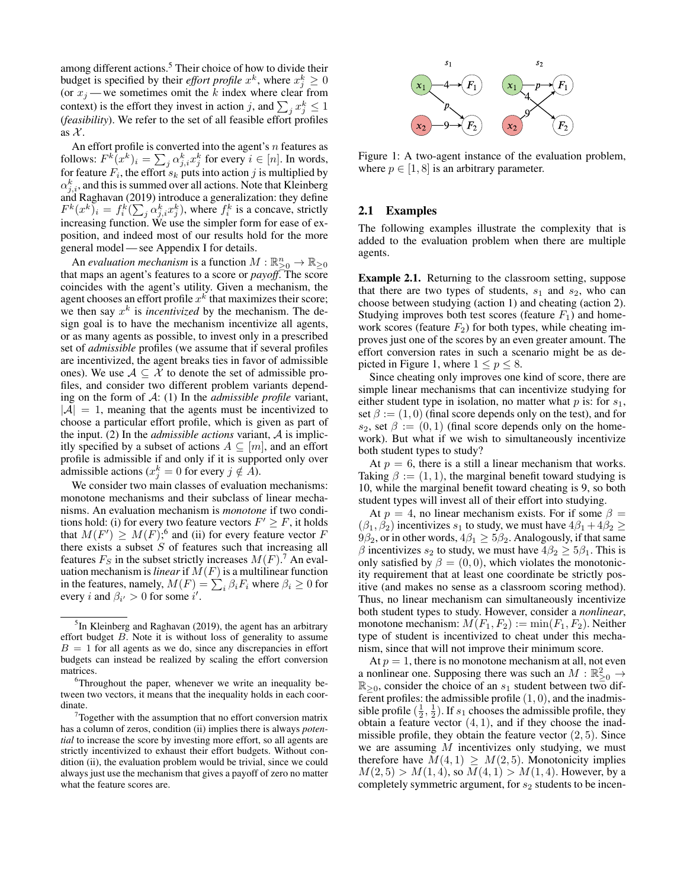among different actions.<sup>5</sup> Their choice of how to divide their budget is specified by their *effort profile*  $x^k$ , where  $x_j^k \geq 0$ (or  $x_j$  — we sometimes omit the k index where clear from context) is the effort they invest in action j, and  $\sum_j x_j^k \leq 1$ (*feasibility*). We refer to the set of all feasible effort profiles as  $\mathcal{X}$ .

An effort profile is converted into the agent's  $n$  features as follows:  $F^k(x^k)_i = \sum_j \alpha_{j,i}^k x_j^k$  for every  $i \in [n]$ . In words, for feature  $F_i$ , the effort  $s_k$  puts into action j is multiplied by  $\alpha_{j,i}^k$ , and this is summed over all actions. Note that Kleinberg and Raghavan (2019) introduce a generalization: they define  $F^k(x^k)$ <sub>i</sub> =  $f_i^k(\sum_j \alpha_{j,i}^k x_j^k)$ , where  $f_i^k$  is a concave, strictly increasing function. We use the simpler form for ease of exposition, and indeed most of our results hold for the more general model — see Appendix I for details.

An *evaluation mechanism* is a function  $M : \mathbb{R}^n_{\geq 0} \to \mathbb{R}_{\geq 0}$ that maps an agent's features to a score or *payoff*. The score coincides with the agent's utility. Given a mechanism, the agent chooses an effort profile  $x^k$  that maximizes their score; we then say  $x^k$  is *incentivized* by the mechanism. The design goal is to have the mechanism incentivize all agents, or as many agents as possible, to invest only in a prescribed set of *admissible* profiles (we assume that if several profiles are incentivized, the agent breaks ties in favor of admissible ones). We use  $A \subseteq \mathcal{X}$  to denote the set of admissible profiles, and consider two different problem variants depending on the form of A: (1) In the *admissible profile* variant,  $|A| = 1$ , meaning that the agents must be incentivized to choose a particular effort profile, which is given as part of the input. (2) In the *admissible actions* variant, A is implicitly specified by a subset of actions  $A \subseteq [m]$ , and an effort profile is admissible if and only if it is supported only over admissible actions ( $x_j^k = 0$  for every  $j \notin \overline{A}$ ).

We consider two main classes of evaluation mechanisms: monotone mechanisms and their subclass of linear mechanisms. An evaluation mechanism is *monotone* if two conditions hold: (i) for every two feature vectors  $F' \geq F$ , it holds that  $M(F') \geq M(F)$ ; 6 and (ii) for every feature vector F there exists a subset  $S$  of features such that increasing all features  $F_S$  in the subset strictly increases  $M(F)$ .<sup>7</sup> An evaluation mechanism is *linear* if  $M(F)$  is a multilinear function in the features, namely,  $M(F) = \sum_i \beta_i F_i$  where  $\beta_i \ge 0$  for every *i* and  $\beta_{i'} > 0$  for some *i'*.



Figure 1: A two-agent instance of the evaluation problem, where  $p \in [1, 8]$  is an arbitrary parameter.

## 2.1 Examples

The following examples illustrate the complexity that is added to the evaluation problem when there are multiple agents.

Example 2.1. Returning to the classroom setting, suppose that there are two types of students,  $s_1$  and  $s_2$ , who can choose between studying (action 1) and cheating (action 2). Studying improves both test scores (feature  $F_1$ ) and homework scores (feature  $F_2$ ) for both types, while cheating improves just one of the scores by an even greater amount. The effort conversion rates in such a scenario might be as depicted in Figure 1, where  $1 \le p \le 8$ .

Since cheating only improves one kind of score, there are simple linear mechanisms that can incentivize studying for either student type in isolation, no matter what  $p$  is: for  $s_1$ , set  $\beta := (1, 0)$  (final score depends only on the test), and for  $s_2$ , set  $\beta := (0, 1)$  (final score depends only on the homework). But what if we wish to simultaneously incentivize both student types to study?

At  $p = 6$ , there is a still a linear mechanism that works. Taking  $\beta := (1, 1)$ , the marginal benefit toward studying is 10, while the marginal benefit toward cheating is 9, so both student types will invest all of their effort into studying.

At  $p = 4$ , no linear mechanism exists. For if some  $\beta =$  $(\beta_1, \beta_2)$  incentivizes  $s_1$  to study, we must have  $4\beta_1 + 4\beta_2 \ge$  $9\beta_2$ , or in other words,  $4\beta_1 \geq 5\beta_2$ . Analogously, if that same β incentivizes  $s_2$  to study, we must have  $4\beta_2 \geq 5\beta_1$ . This is only satisfied by  $\beta = (0, 0)$ , which violates the monotonicity requirement that at least one coordinate be strictly positive (and makes no sense as a classroom scoring method). Thus, no linear mechanism can simultaneously incentivize both student types to study. However, consider a *nonlinear*, monotone mechanism:  $M(F_1, F_2) := \min(F_1, F_2)$ . Neither type of student is incentivized to cheat under this mechanism, since that will not improve their minimum score.

At  $p = 1$ , there is no monotone mechanism at all, not even a nonlinear one. Supposing there was such an  $M : \mathbb{R}^2_{\geq 0} \to$  $\mathbb{R}_{\geq 0}$ , consider the choice of an  $s_1$  student between two different profiles: the admissible profile  $(1, 0)$ , and the inadmissible profile  $(\frac{1}{2}, \frac{1}{2})$ . If  $s_1$  chooses the admissible profile, they obtain a feature vector  $(4, 1)$ , and if they choose the inadmissible profile, they obtain the feature vector  $(2, 5)$ . Since we are assuming  $M$  incentivizes only studying, we must therefore have  $M(4, 1) \geq M(2, 5)$ . Monotonicity implies  $M(2, 5) > M(1, 4)$ , so  $M(4, 1) > M(1, 4)$ . However, by a completely symmetric argument, for  $s_2$  students to be incen-

<sup>&</sup>lt;sup>5</sup>In Kleinberg and Raghavan (2019), the agent has an arbitrary effort budget B. Note it is without loss of generality to assume  $B = 1$  for all agents as we do, since any discrepancies in effort budgets can instead be realized by scaling the effort conversion matrices.

 $6$ Throughout the paper, whenever we write an inequality between two vectors, it means that the inequality holds in each coordinate.

 $7$ Together with the assumption that no effort conversion matrix has a column of zeros, condition (ii) implies there is always *potential* to increase the score by investing more effort, so all agents are strictly incentivized to exhaust their effort budgets. Without condition (ii), the evaluation problem would be trivial, since we could always just use the mechanism that gives a payoff of zero no matter what the feature scores are.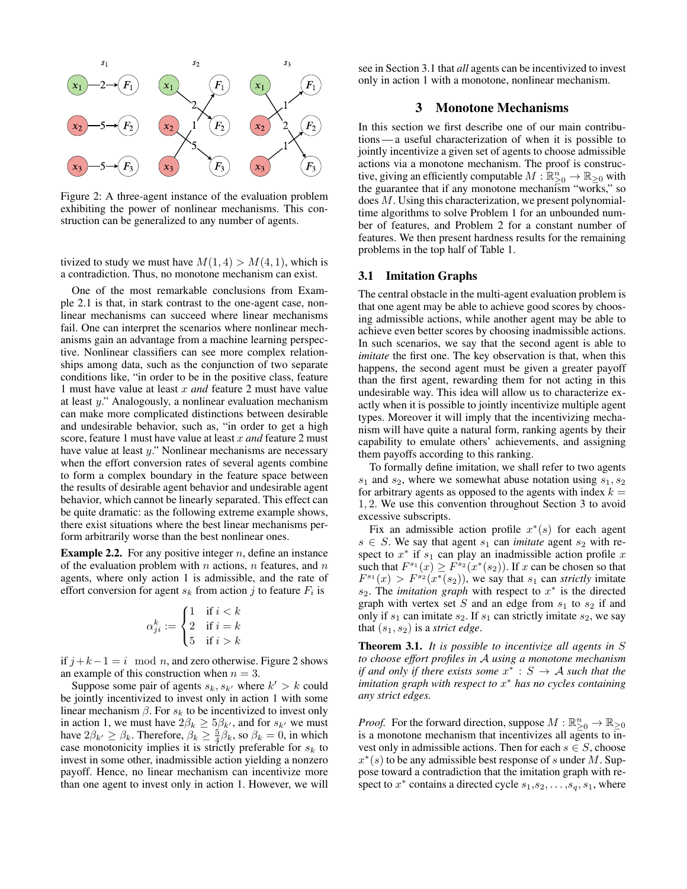

Figure 2: A three-agent instance of the evaluation problem exhibiting the power of nonlinear mechanisms. This construction can be generalized to any number of agents.

tivized to study we must have  $M(1, 4) > M(4, 1)$ , which is a contradiction. Thus, no monotone mechanism can exist.

One of the most remarkable conclusions from Example 2.1 is that, in stark contrast to the one-agent case, nonlinear mechanisms can succeed where linear mechanisms fail. One can interpret the scenarios where nonlinear mechanisms gain an advantage from a machine learning perspective. Nonlinear classifiers can see more complex relationships among data, such as the conjunction of two separate conditions like, "in order to be in the positive class, feature 1 must have value at least x *and* feature 2 must have value at least y." Analogously, a nonlinear evaluation mechanism can make more complicated distinctions between desirable and undesirable behavior, such as, "in order to get a high score, feature 1 must have value at least x *and* feature 2 must have value at least y." Nonlinear mechanisms are necessary when the effort conversion rates of several agents combine to form a complex boundary in the feature space between the results of desirable agent behavior and undesirable agent behavior, which cannot be linearly separated. This effect can be quite dramatic: as the following extreme example shows, there exist situations where the best linear mechanisms perform arbitrarily worse than the best nonlinear ones.

**Example 2.2.** For any positive integer  $n$ , define an instance of the evaluation problem with n actions, n features, and  $n$ agents, where only action 1 is admissible, and the rate of effort conversion for agent  $s_k$  from action j to feature  $F_i$  is

$$
\alpha_{ji}^k := \begin{cases} 1 & \text{if } i < k \\ 2 & \text{if } i = k \\ 5 & \text{if } i > k \end{cases}
$$

if  $j + k − 1 = i \mod n$ , and zero otherwise. Figure 2 shows an example of this construction when  $n = 3$ .

Suppose some pair of agents  $s_k$ ,  $s_{k'}$  where  $k' > k$  could be jointly incentivized to invest only in action 1 with some linear mechanism  $\beta$ . For  $s_k$  to be incentivized to invest only in action 1, we must have  $2\beta_k \geq 5\beta_{k}$ , and for  $s_{k}$  we must have  $2\beta_{k'} \ge \beta_k$ . Therefore,  $\beta_k \ge \frac{5}{4}\beta_k$ , so  $\beta_k = 0$ , in which case monotonicity implies it is strictly preferable for  $s_k$  to invest in some other, inadmissible action yielding a nonzero payoff. Hence, no linear mechanism can incentivize more than one agent to invest only in action 1. However, we will

see in Section 3.1 that *all* agents can be incentivized to invest only in action 1 with a monotone, nonlinear mechanism.

## 3 Monotone Mechanisms

In this section we first describe one of our main contributions — a useful characterization of when it is possible to jointly incentivize a given set of agents to choose admissible actions via a monotone mechanism. The proof is constructive, giving an efficiently computable  $M: \mathbb{R}^n_{\geq 0} \to \mathbb{R}_{\geq 0}$  with the guarantee that if any monotone mechanism "works," so does M. Using this characterization, we present polynomialtime algorithms to solve Problem 1 for an unbounded number of features, and Problem 2 for a constant number of features. We then present hardness results for the remaining problems in the top half of Table 1.

#### 3.1 Imitation Graphs

The central obstacle in the multi-agent evaluation problem is that one agent may be able to achieve good scores by choosing admissible actions, while another agent may be able to achieve even better scores by choosing inadmissible actions. In such scenarios, we say that the second agent is able to *imitate* the first one. The key observation is that, when this happens, the second agent must be given a greater payoff than the first agent, rewarding them for not acting in this undesirable way. This idea will allow us to characterize exactly when it is possible to jointly incentivize multiple agent types. Moreover it will imply that the incentivizing mechanism will have quite a natural form, ranking agents by their capability to emulate others' achievements, and assigning them payoffs according to this ranking.

To formally define imitation, we shall refer to two agents  $s_1$  and  $s_2$ , where we somewhat abuse notation using  $s_1, s_2$ for arbitrary agents as opposed to the agents with index  $k =$ 1, 2. We use this convention throughout Section 3 to avoid excessive subscripts.

Fix an admissible action profile  $x^*(s)$  for each agent  $s \in S$ . We say that agent  $s_1$  can *imitate* agent  $s_2$  with respect to  $x^*$  if  $s_1$  can play an inadmissible action profile x such that  $F^{s_1}(x) \geq F^{s_2}(x^*(s_2))$ . If x can be chosen so that  $F^{s_1}(x) > F^{s_2}(x^*(s_2))$ , we say that  $s_1$  can *strictly* imitate  $s_2$ . The *imitation graph* with respect to  $x^*$  is the directed graph with vertex set  $S$  and an edge from  $s_1$  to  $s_2$  if and only if  $s_1$  can imitate  $s_2$ . If  $s_1$  can strictly imitate  $s_2$ , we say that  $(s_1, s_2)$  is a *strict edge*.

Theorem 3.1. *It is possible to incentivize all agents in* S *to choose effort profiles in* A *using a monotone mechanism if and only if there exists some*  $x^* : S \to A$  *such that the imitation graph with respect to* x <sup>∗</sup> *has no cycles containing any strict edges.*

*Proof.* For the forward direction, suppose  $M : \mathbb{R}^n_{\geq 0} \to \mathbb{R}_{\geq 0}$ is a monotone mechanism that incentivizes all agents to invest only in admissible actions. Then for each  $s \in S$ , choose  $x^*(s)$  to be any admissible best response of s under M. Suppose toward a contradiction that the imitation graph with respect to  $x^*$  contains a directed cycle  $s_1, s_2, \ldots, s_q, s_1$ , where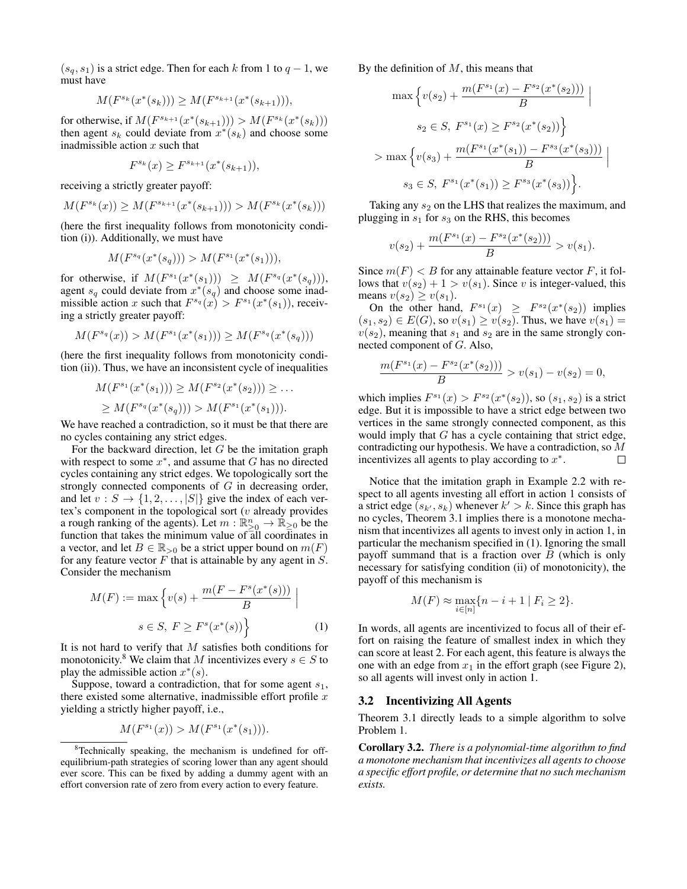$(s_q, s_1)$  is a strict edge. Then for each k from 1 to  $q - 1$ , we must have

$$
M(F^{s_k}(x^*(s_k))) \ge M(F^{s_{k+1}}(x^*(s_{k+1}))),
$$

for otherwise, if  $M(F^{s_{k+1}}(x^*(s_{k+1}))) > M(F^{s_k}(x^*(s_k)))$ then agent  $s_k$  could deviate from  $x^*(s_k)$  and choose some inadmissible action  $x$  such that

$$
F^{s_k}(x) \ge F^{s_{k+1}}(x^*(s_{k+1})),
$$

receiving a strictly greater payoff:

$$
M(F^{s_k}(x)) \ge M(F^{s_{k+1}}(x^*(s_{k+1}))) > M(F^{s_k}(x^*(s_k)))
$$

(here the first inequality follows from monotonicity condition (i)). Additionally, we must have

$$
M(F^{s_q}(x^*(s_q))) > M(F^{s_1}(x^*(s_1))),
$$

for otherwise, if  $M(F^{s_1}(x^*(s_1))) \geq M(F^{s_q}(x^*(s_q))),$ agent  $s_q$  could deviate from  $x^*(s_q)$  and choose some inadmissible action x such that  $F^{s_q}(x) > F^{s_1}(x^*(s_1))$ , receiving a strictly greater payoff:

$$
M(F^{s_q}(x)) > M(F^{s_1}(x^*(s_1))) \ge M(F^{s_q}(x^*(s_q)))
$$

(here the first inequality follows from monotonicity condition (ii)). Thus, we have an inconsistent cycle of inequalities

$$
M(F^{s_1}(x^*(s_1))) \ge M(F^{s_2}(x^*(s_2))) \ge \dots
$$
  
 
$$
\ge M(F^{s_4}(x^*(s_4))) > M(F^{s_1}(x^*(s_1))).
$$

We have reached a contradiction, so it must be that there are no cycles containing any strict edges.

For the backward direction, let  $G$  be the imitation graph with respect to some  $x^*$ , and assume that  $G$  has no directed cycles containing any strict edges. We topologically sort the strongly connected components of G in decreasing order, and let  $v : S \to \{1, 2, \ldots, |S|\}$  give the index of each vertex's component in the topological sort  $(v$  already provides a rough ranking of the agents). Let  $m : \mathbb{R}^n_{\geq 0} \to \mathbb{R}^n_{\geq 0}$  be the function that takes the minimum value of all coordinates in a vector, and let  $B \in \mathbb{R}_{>0}$  be a strict upper bound on  $m(F)$ for any feature vector  $F$  that is attainable by any agent in  $S$ . Consider the mechanism

$$
M(F) := \max \left\{ v(s) + \frac{m(F - F^s(x^*(s)))}{B} \mid
$$
  

$$
s \in S, F \ge F^s(x^*(s)) \right\}
$$
 (1)

It is not hard to verify that  $M$  satisfies both conditions for monotonicity.<sup>8</sup> We claim that M incentivizes every  $s \in S$  to play the admissible action  $x^*(s)$ .

Suppose, toward a contradiction, that for some agent  $s_1$ , there existed some alternative, inadmissible effort profile  $x$ yielding a strictly higher payoff, i.e.,

$$
M(F^{s_1}(x)) > M(F^{s_1}(x^*(s_1))).
$$

By the definition of  $M$ , this means that

$$
\max \left\{ v(s_2) + \frac{m(F^{s_1}(x) - F^{s_2}(x^*(s_2)))}{B} \; \Big| \right\}
$$
  

$$
s_2 \in S, \; F^{s_1}(x) \ge F^{s_2}(x^*(s_2)) \left\}
$$
  

$$
> \max \left\{ v(s_3) + \frac{m(F^{s_1}(x^*(s_1)) - F^{s_3}(x^*(s_3)))}{B} \; \Big| \right\}
$$
  

$$
s_3 \in S, \; F^{s_1}(x^*(s_1)) \ge F^{s_3}(x^*(s_3)) \left\}.
$$

Taking any  $s_2$  on the LHS that realizes the maximum, and plugging in  $s_1$  for  $s_3$  on the RHS, this becomes

$$
v(s_2) + \frac{m(F^{s_1}(x) - F^{s_2}(x^*(s_2)))}{B} > v(s_1).
$$

Since  $m(F) < B$  for any attainable feature vector F, it follows that  $v(s_2) + 1 > v(s_1)$ . Since v is integer-valued, this means  $v(s_2) \ge v(s_1)$ .

On the other hand,  $F^{s_1}(x) \geq F^{s_2}(x^*(s_2))$  implies  $(s_1, s_2) \in E(G)$ , so  $v(s_1) \ge v(s_2)$ . Thus, we have  $v(s_1) =$  $v(s_2)$ , meaning that  $s_1$  and  $s_2$  are in the same strongly connected component of G. Also,

$$
\frac{m(F^{s_1}(x) - F^{s_2}(x^*(s_2)))}{B} > v(s_1) - v(s_2) = 0,
$$

which implies  $F^{s_1}(x) > F^{s_2}(x^*(s_2))$ , so  $(s_1, s_2)$  is a strict edge. But it is impossible to have a strict edge between two vertices in the same strongly connected component, as this would imply that G has a cycle containing that strict edge, contradicting our hypothesis. We have a contradiction, so M incentivizes all agents to play according to  $x^*$ .  $\Box$ 

Notice that the imitation graph in Example 2.2 with respect to all agents investing all effort in action 1 consists of a strict edge  $(s_{k'}, s_k)$  whenever  $k' > k$ . Since this graph has no cycles, Theorem 3.1 implies there is a monotone mechanism that incentivizes all agents to invest only in action 1, in particular the mechanism specified in (1). Ignoring the small payoff summand that is a fraction over  $B$  (which is only necessary for satisfying condition (ii) of monotonicity), the payoff of this mechanism is

$$
M(F) \approx \max_{i \in [n]} \{n-i+1 \mid F_i \ge 2\}.
$$

In words, all agents are incentivized to focus all of their effort on raising the feature of smallest index in which they can score at least 2. For each agent, this feature is always the one with an edge from  $x_1$  in the effort graph (see Figure 2), so all agents will invest only in action 1.

#### 3.2 Incentivizing All Agents

Theorem 3.1 directly leads to a simple algorithm to solve Problem 1.

Corollary 3.2. *There is a polynomial-time algorithm to find a monotone mechanism that incentivizes all agents to choose a specific effort profile, or determine that no such mechanism exists.*

<sup>8</sup>Technically speaking, the mechanism is undefined for offequilibrium-path strategies of scoring lower than any agent should ever score. This can be fixed by adding a dummy agent with an effort conversion rate of zero from every action to every feature.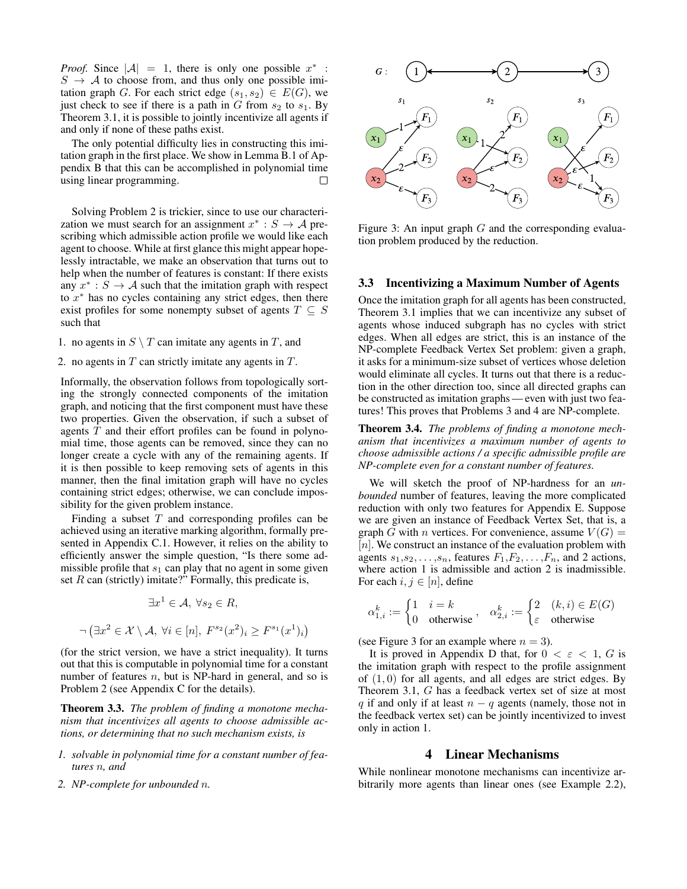*Proof.* Since  $|\mathcal{A}| = 1$ , there is only one possible  $x^*$ :  $S \rightarrow A$  to choose from, and thus only one possible imitation graph G. For each strict edge  $(s_1, s_2) \in E(G)$ , we just check to see if there is a path in  $G$  from  $s_2$  to  $s_1$ . By Theorem 3.1, it is possible to jointly incentivize all agents if and only if none of these paths exist.

The only potential difficulty lies in constructing this imitation graph in the first place. We show in Lemma B.1 of Appendix B that this can be accomplished in polynomial time using linear programming.

Solving Problem 2 is trickier, since to use our characterization we must search for an assignment  $x^* : S \to A$  prescribing which admissible action profile we would like each agent to choose. While at first glance this might appear hopelessly intractable, we make an observation that turns out to help when the number of features is constant: If there exists any  $x^* : S \to A$  such that the imitation graph with respect to  $x^*$  has no cycles containing any strict edges, then there exist profiles for some nonempty subset of agents  $T \subseteq S$ such that

- 1. no agents in  $S \setminus T$  can imitate any agents in  $T$ , and
- 2. no agents in  $T$  can strictly imitate any agents in  $T$ .

Informally, the observation follows from topologically sorting the strongly connected components of the imitation graph, and noticing that the first component must have these two properties. Given the observation, if such a subset of agents  $T$  and their effort profiles can be found in polynomial time, those agents can be removed, since they can no longer create a cycle with any of the remaining agents. If it is then possible to keep removing sets of agents in this manner, then the final imitation graph will have no cycles containing strict edges; otherwise, we can conclude impossibility for the given problem instance.

Finding a subset  $T$  and corresponding profiles can be achieved using an iterative marking algorithm, formally presented in Appendix C.1. However, it relies on the ability to efficiently answer the simple question, "Is there some admissible profile that  $s_1$  can play that no agent in some given set  $R$  can (strictly) imitate?" Formally, this predicate is,

$$
\exists x^1 \in \mathcal{A}, \ \forall s_2 \in R,
$$
  

$$
\neg (\exists x^2 \in \mathcal{X} \setminus \mathcal{A}, \ \forall i \in [n], \ F^{s_2}(x^2)_i \ge F^{s_1}(x^1)_i)
$$

(for the strict version, we have a strict inequality). It turns out that this is computable in polynomial time for a constant number of features  $n$ , but is NP-hard in general, and so is Problem 2 (see Appendix C for the details).

Theorem 3.3. *The problem of finding a monotone mechanism that incentivizes all agents to choose admissible actions, or determining that no such mechanism exists, is*

- *1. solvable in polynomial time for a constant number of features* n*, and*
- *2. NP-complete for unbounded* n*.*



Figure 3: An input graph  $G$  and the corresponding evaluation problem produced by the reduction.

### 3.3 Incentivizing a Maximum Number of Agents

Once the imitation graph for all agents has been constructed, Theorem 3.1 implies that we can incentivize any subset of agents whose induced subgraph has no cycles with strict edges. When all edges are strict, this is an instance of the NP-complete Feedback Vertex Set problem: given a graph, it asks for a minimum-size subset of vertices whose deletion would eliminate all cycles. It turns out that there is a reduction in the other direction too, since all directed graphs can be constructed as imitation graphs — even with just two features! This proves that Problems 3 and 4 are NP-complete.

Theorem 3.4. *The problems of finding a monotone mechanism that incentivizes a maximum number of agents to choose admissible actions / a specific admissible profile are NP-complete even for a constant number of features.*

We will sketch the proof of NP-hardness for an *unbounded* number of features, leaving the more complicated reduction with only two features for Appendix E. Suppose we are given an instance of Feedback Vertex Set, that is, a graph G with n vertices. For convenience, assume  $V(G)$  =  $[n]$ . We construct an instance of the evaluation problem with agents  $s_1, s_2, \ldots, s_n$ , features  $F_1, F_2, \ldots, F_n$ , and 2 actions, where action 1 is admissible and action 2 is inadmissible. For each  $i, j \in [n]$ , define

$$
\alpha_{1,i}^k := \begin{cases} 1 & i = k \\ 0 & \text{otherwise} \end{cases}, \quad \alpha_{2,i}^k := \begin{cases} 2 & (k,i) \in E(G) \\ \varepsilon & \text{otherwise} \end{cases}
$$

(see Figure 3 for an example where  $n = 3$ ).

It is proved in Appendix D that, for  $0 < \varepsilon < 1$ , G is the imitation graph with respect to the profile assignment of  $(1, 0)$  for all agents, and all edges are strict edges. By Theorem 3.1, G has a feedback vertex set of size at most q if and only if at least  $n - q$  agents (namely, those not in the feedback vertex set) can be jointly incentivized to invest only in action 1.

## 4 Linear Mechanisms

While nonlinear monotone mechanisms can incentivize arbitrarily more agents than linear ones (see Example 2.2),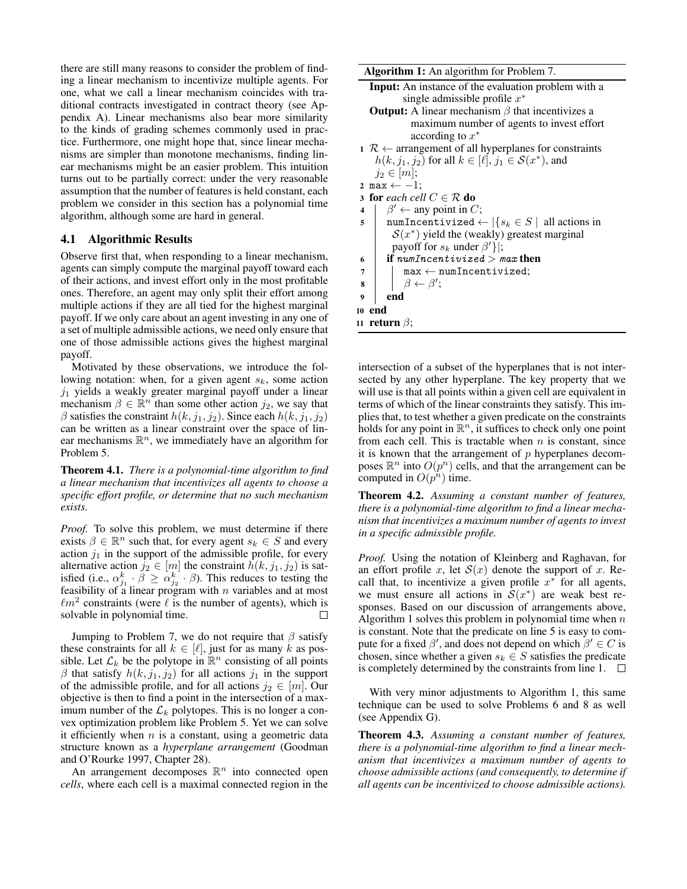there are still many reasons to consider the problem of finding a linear mechanism to incentivize multiple agents. For one, what we call a linear mechanism coincides with traditional contracts investigated in contract theory (see Appendix A). Linear mechanisms also bear more similarity to the kinds of grading schemes commonly used in practice. Furthermore, one might hope that, since linear mechanisms are simpler than monotone mechanisms, finding linear mechanisms might be an easier problem. This intuition turns out to be partially correct: under the very reasonable assumption that the number of features is held constant, each problem we consider in this section has a polynomial time algorithm, although some are hard in general.

#### 4.1 Algorithmic Results

Observe first that, when responding to a linear mechanism, agents can simply compute the marginal payoff toward each of their actions, and invest effort only in the most profitable ones. Therefore, an agent may only split their effort among multiple actions if they are all tied for the highest marginal payoff. If we only care about an agent investing in any one of a set of multiple admissible actions, we need only ensure that one of those admissible actions gives the highest marginal payoff.

Motivated by these observations, we introduce the following notation: when, for a given agent  $s_k$ , some action  $j_1$  yields a weakly greater marginal payoff under a linear mechanism  $\beta \in \mathbb{R}^n$  than some other action  $j_2$ , we say that  $\beta$  satisfies the constraint  $h(k, j_1, j_2)$ . Since each  $h(k, j_1, j_2)$ can be written as a linear constraint over the space of linear mechanisms  $\mathbb{R}^n$ , we immediately have an algorithm for Problem 5.

Theorem 4.1. *There is a polynomial-time algorithm to find a linear mechanism that incentivizes all agents to choose a specific effort profile, or determine that no such mechanism exists.*

*Proof.* To solve this problem, we must determine if there exists  $\beta \in \mathbb{R}^n$  such that, for every agent  $s_k \in S$  and every action  $j_1$  in the support of the admissible profile, for every alternative action  $j_2 \in [m]$  the constraint  $h(k, j_1, j_2)$  is satisfied (i.e.,  $\alpha_{j_1}^k \cdot \beta \ge \alpha_{j_2}^k \cdot \beta$ ). This reduces to testing the feasibility of a linear program with  $n$  variables and at most  $\ell m^2$  constraints (were  $\ell$  is the number of agents), which is solvable in polynomial time.  $\Box$ 

Jumping to Problem 7, we do not require that  $\beta$  satisfy these constraints for all  $k \in [\ell]$ , just for as many k as possible. Let  $\mathcal{L}_k$  be the polytope in  $\mathbb{R}^n$  consisting of all points  $\beta$  that satisfy  $h(k, j_1, j_2)$  for all actions  $j_1$  in the support of the admissible profile, and for all actions  $j_2 \in [m]$ . Our objective is then to find a point in the intersection of a maximum number of the  $\mathcal{L}_k$  polytopes. This is no longer a convex optimization problem like Problem 5. Yet we can solve it efficiently when  $n$  is a constant, using a geometric data structure known as a *hyperplane arrangement* (Goodman and O'Rourke 1997, Chapter 28).

An arrangement decomposes  $\mathbb{R}^n$  into connected open *cells*, where each cell is a maximal connected region in the Algorithm 1: An algorithm for Problem 7.

- Input: An instance of the evaluation problem with a single admissible profile  $x^*$
- **Output:** A linear mechanism  $\beta$  that incentivizes a maximum number of agents to invest effort according to  $x^*$
- 1  $R \leftarrow$  arrangement of all hyperplanes for constraints  $h(k, j_1, j_2)$  for all  $k \in [\ell], j_1 \in \mathcal{S}(x^*)$ , and  $j_2 \in [m];$
- 2 max  $\leftarrow -1$ ;
- 3 for *each cell*  $C \in \mathcal{R}$  do
- 4  $\beta' \leftarrow$  any point in C; 5 | numIncentivized ←  $|\{s_k \in S \mid \text{ all actions in }\}$  $S(x^*)$  yield the (weakly) greatest marginal payoff for  $s_k$  under  $\beta'$ }|;
- 6 if  $numIncentivized > max$  then
- $7$  | max  $\leftarrow$  numIncentivized;
- $\mathbf{s}$  |  $\beta \leftarrow \beta';$
- <sup>9</sup> end
- <sup>10</sup> end
- 11 return  $\beta$ ;

intersection of a subset of the hyperplanes that is not intersected by any other hyperplane. The key property that we will use is that all points within a given cell are equivalent in terms of which of the linear constraints they satisfy. This implies that, to test whether a given predicate on the constraints holds for any point in  $\mathbb{R}^n$ , it suffices to check only one point from each cell. This is tractable when  $n$  is constant, since it is known that the arrangement of  $p$  hyperplanes decomposes  $\mathbb{R}^n$  into  $O(p^n)$  cells, and that the arrangement can be computed in  $O(p^n)$  time.

Theorem 4.2. *Assuming a constant number of features, there is a polynomial-time algorithm to find a linear mechanism that incentivizes a maximum number of agents to invest in a specific admissible profile.*

*Proof.* Using the notation of Kleinberg and Raghavan, for an effort profile x, let  $S(x)$  denote the support of x. Recall that, to incentivize a given profile  $x^*$  for all agents, we must ensure all actions in  $\mathcal{S}(x^*)$  are weak best responses. Based on our discussion of arrangements above, Algorithm 1 solves this problem in polynomial time when  $n$ is constant. Note that the predicate on line 5 is easy to compute for a fixed  $\beta'$ , and does not depend on which  $\beta' \in C$  is chosen, since whether a given  $s_k \in S$  satisfies the predicate is completely determined by the constraints from line 1.  $\Box$ 

With very minor adjustments to Algorithm 1, this same technique can be used to solve Problems 6 and 8 as well (see Appendix G).

Theorem 4.3. *Assuming a constant number of features, there is a polynomial-time algorithm to find a linear mechanism that incentivizes a maximum number of agents to choose admissible actions (and consequently, to determine if all agents can be incentivized to choose admissible actions).*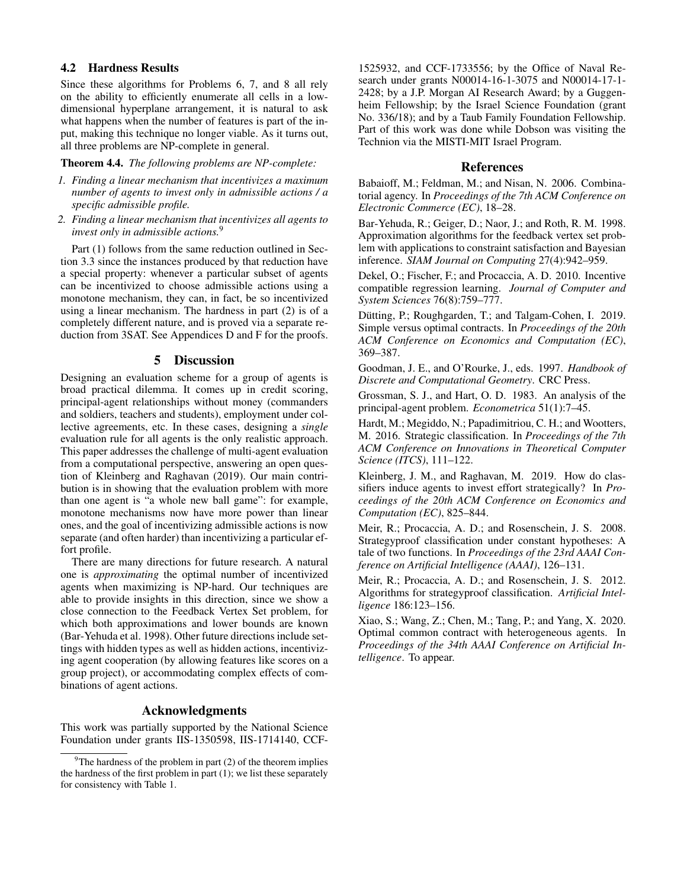## 4.2 Hardness Results

Since these algorithms for Problems 6, 7, and 8 all rely on the ability to efficiently enumerate all cells in a lowdimensional hyperplane arrangement, it is natural to ask what happens when the number of features is part of the input, making this technique no longer viable. As it turns out, all three problems are NP-complete in general.

#### Theorem 4.4. *The following problems are NP-complete:*

- *1. Finding a linear mechanism that incentivizes a maximum number of agents to invest only in admissible actions / a specific admissible profile.*
- *2. Finding a linear mechanism that incentivizes all agents to invest only in admissible actions.*<sup>9</sup>

Part (1) follows from the same reduction outlined in Section 3.3 since the instances produced by that reduction have a special property: whenever a particular subset of agents can be incentivized to choose admissible actions using a monotone mechanism, they can, in fact, be so incentivized using a linear mechanism. The hardness in part (2) is of a completely different nature, and is proved via a separate reduction from 3SAT. See Appendices D and F for the proofs.

#### 5 Discussion

Designing an evaluation scheme for a group of agents is broad practical dilemma. It comes up in credit scoring, principal-agent relationships without money (commanders and soldiers, teachers and students), employment under collective agreements, etc. In these cases, designing a *single* evaluation rule for all agents is the only realistic approach. This paper addresses the challenge of multi-agent evaluation from a computational perspective, answering an open question of Kleinberg and Raghavan (2019). Our main contribution is in showing that the evaluation problem with more than one agent is "a whole new ball game": for example, monotone mechanisms now have more power than linear ones, and the goal of incentivizing admissible actions is now separate (and often harder) than incentivizing a particular effort profile.

There are many directions for future research. A natural one is *approximating* the optimal number of incentivized agents when maximizing is NP-hard. Our techniques are able to provide insights in this direction, since we show a close connection to the Feedback Vertex Set problem, for which both approximations and lower bounds are known (Bar-Yehuda et al. 1998). Other future directions include settings with hidden types as well as hidden actions, incentivizing agent cooperation (by allowing features like scores on a group project), or accommodating complex effects of combinations of agent actions.

## Acknowledgments

This work was partially supported by the National Science Foundation under grants IIS-1350598, IIS-1714140, CCF-

1525932, and CCF-1733556; by the Office of Naval Research under grants N00014-16-1-3075 and N00014-17-1- 2428; by a J.P. Morgan AI Research Award; by a Guggenheim Fellowship; by the Israel Science Foundation (grant No. 336/18); and by a Taub Family Foundation Fellowship. Part of this work was done while Dobson was visiting the Technion via the MISTI-MIT Israel Program.

#### References

Babaioff, M.; Feldman, M.; and Nisan, N. 2006. Combinatorial agency. In *Proceedings of the 7th ACM Conference on Electronic Commerce (EC)*, 18–28.

Bar-Yehuda, R.; Geiger, D.; Naor, J.; and Roth, R. M. 1998. Approximation algorithms for the feedback vertex set problem with applications to constraint satisfaction and Bayesian inference. *SIAM Journal on Computing* 27(4):942–959.

Dekel, O.; Fischer, F.; and Procaccia, A. D. 2010. Incentive compatible regression learning. *Journal of Computer and System Sciences* 76(8):759–777.

Dütting, P.; Roughgarden, T.; and Talgam-Cohen, I. 2019. Simple versus optimal contracts. In *Proceedings of the 20th ACM Conference on Economics and Computation (EC)*, 369–387.

Goodman, J. E., and O'Rourke, J., eds. 1997. *Handbook of Discrete and Computational Geometry*. CRC Press.

Grossman, S. J., and Hart, O. D. 1983. An analysis of the principal-agent problem. *Econometrica* 51(1):7–45.

Hardt, M.; Megiddo, N.; Papadimitriou, C. H.; and Wootters, M. 2016. Strategic classification. In *Proceedings of the 7th ACM Conference on Innovations in Theoretical Computer Science (ITCS)*, 111–122.

Kleinberg, J. M., and Raghavan, M. 2019. How do classifiers induce agents to invest effort strategically? In *Proceedings of the 20th ACM Conference on Economics and Computation (EC)*, 825–844.

Meir, R.; Procaccia, A. D.; and Rosenschein, J. S. 2008. Strategyproof classification under constant hypotheses: A tale of two functions. In *Proceedings of the 23rd AAAI Conference on Artificial Intelligence (AAAI)*, 126–131.

Meir, R.; Procaccia, A. D.; and Rosenschein, J. S. 2012. Algorithms for strategyproof classification. *Artificial Intelligence* 186:123–156.

Xiao, S.; Wang, Z.; Chen, M.; Tang, P.; and Yang, X. 2020. Optimal common contract with heterogeneous agents. In *Proceedings of the 34th AAAI Conference on Artificial Intelligence*. To appear.

<sup>&</sup>lt;sup>9</sup>The hardness of the problem in part  $(2)$  of the theorem implies the hardness of the first problem in part (1); we list these separately for consistency with Table 1.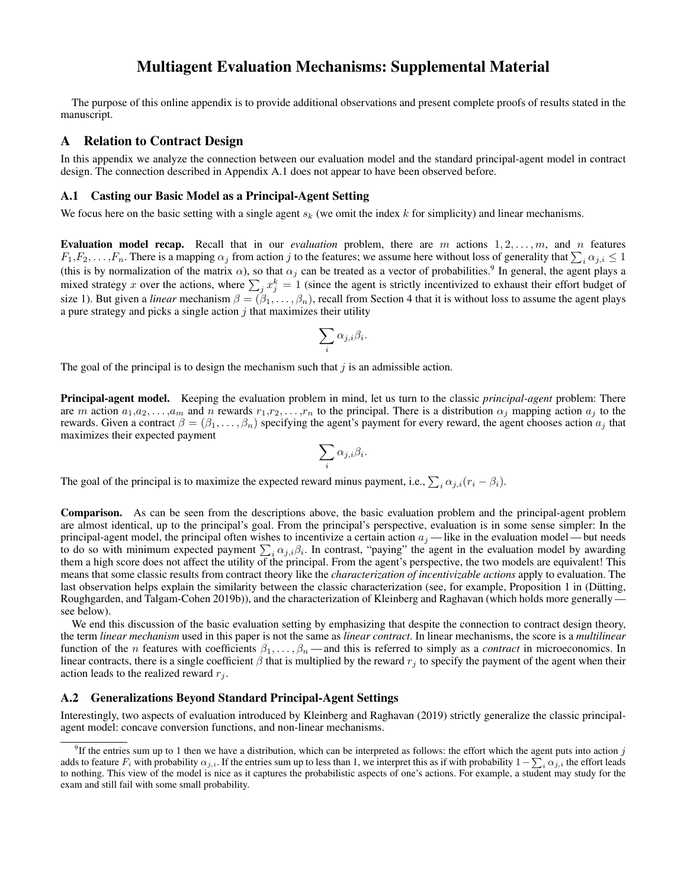# Multiagent Evaluation Mechanisms: Supplemental Material

The purpose of this online appendix is to provide additional observations and present complete proofs of results stated in the manuscript.

## A Relation to Contract Design

In this appendix we analyze the connection between our evaluation model and the standard principal-agent model in contract design. The connection described in Appendix A.1 does not appear to have been observed before.

#### A.1 Casting our Basic Model as a Principal-Agent Setting

We focus here on the basic setting with a single agent  $s_k$  (we omit the index k for simplicity) and linear mechanisms.

Evaluation model recap. Recall that in our *evaluation* problem, there are m actions  $1, 2, \ldots, m$ , and n features  $F_1, F_2, \ldots, F_n$ . There is a mapping  $\alpha_j$  from action j to the features; we assume here without loss of generality that  $\sum_i \alpha_{j,i} \leq 1$ (this is by normalization of the matrix  $\alpha$ ), so that  $\alpha_j$  can be treated as a vector of probabilities.<sup>9</sup> In general, the agent plays a mixed strategy x over the actions, where  $\sum_j x_j^k = 1$  (since the agent is strictly incentivized to exhaust their effort budget of size 1). But given a *linear* mechanism  $\beta = (\beta_1, \dots, \beta_n)$ , recall from Section 4 that it is without loss to assume the agent plays a pure strategy and picks a single action  $j$  that maximizes their utility

$$
\sum_i \alpha_{j,i} \beta_i.
$$

The goal of the principal is to design the mechanism such that  $\dot{\gamma}$  is an admissible action.

Principal-agent model. Keeping the evaluation problem in mind, let us turn to the classic *principal-agent* problem: There are m action  $a_1, a_2, \ldots, a_m$  and n rewards  $r_1, r_2, \ldots, r_n$  to the principal. There is a distribution  $\alpha_j$  mapping action  $a_j$  to the rewards. Given a contract  $\beta = (\beta_1, \dots, \beta_n)$  specifying the agent's payment for every reward, the agent chooses action  $a_j$  that maximizes their expected payment

$$
\sum_i \alpha_{j,i} \beta_i.
$$

The goal of the principal is to maximize the expected reward minus payment, i.e.,  $\sum_i \alpha_{j,i}(r_i - \beta_i)$ .

Comparison. As can be seen from the descriptions above, the basic evaluation problem and the principal-agent problem are almost identical, up to the principal's goal. From the principal's perspective, evaluation is in some sense simpler: In the principal-agent model, the principal often wishes to incentivize a certain action  $a_j$ —like in the evaluation model—but needs to do so with minimum expected payment  $\sum_i \alpha_{j,i}\beta_i$ . In contrast, "paying" the agent in the evaluation model by awarding them a high score does not affect the utility of the principal. From the agent's perspective, the two models are equivalent! This means that some classic results from contract theory like the *characterization of incentivizable actions* apply to evaluation. The last observation helps explain the similarity between the classic characterization (see, for example, Proposition 1 in (Dütting, Roughgarden, and Talgam-Cohen 2019b)), and the characterization of Kleinberg and Raghavan (which holds more generally see below).

We end this discussion of the basic evaluation setting by emphasizing that despite the connection to contract design theory, the term *linear mechanism* used in this paper is not the same as *linear contract*. In linear mechanisms, the score is a *multilinear* function of the n features with coefficients  $\beta_1, \ldots, \beta_n$ —and this is referred to simply as a *contract* in microeconomics. In linear contracts, there is a single coefficient  $\beta$  that is multiplied by the reward  $r_i$  to specify the payment of the agent when their action leads to the realized reward  $r_i$ .

## A.2 Generalizations Beyond Standard Principal-Agent Settings

Interestingly, two aspects of evaluation introduced by Kleinberg and Raghavan (2019) strictly generalize the classic principalagent model: concave conversion functions, and non-linear mechanisms.

<sup>&</sup>lt;sup>9</sup>If the entries sum up to 1 then we have a distribution, which can be interpreted as follows: the effort which the agent puts into action j adds to feature  $F_i$  with probability  $\alpha_{j,i}$ . If the entries sum up to less than 1, we interpret this as if with probability  $1-\sum_i \alpha_{j,i}$  the effort leads to nothing. This view of the model is nice as it captures the probabilistic aspects of one's actions. For example, a student may study for the exam and still fail with some small probability.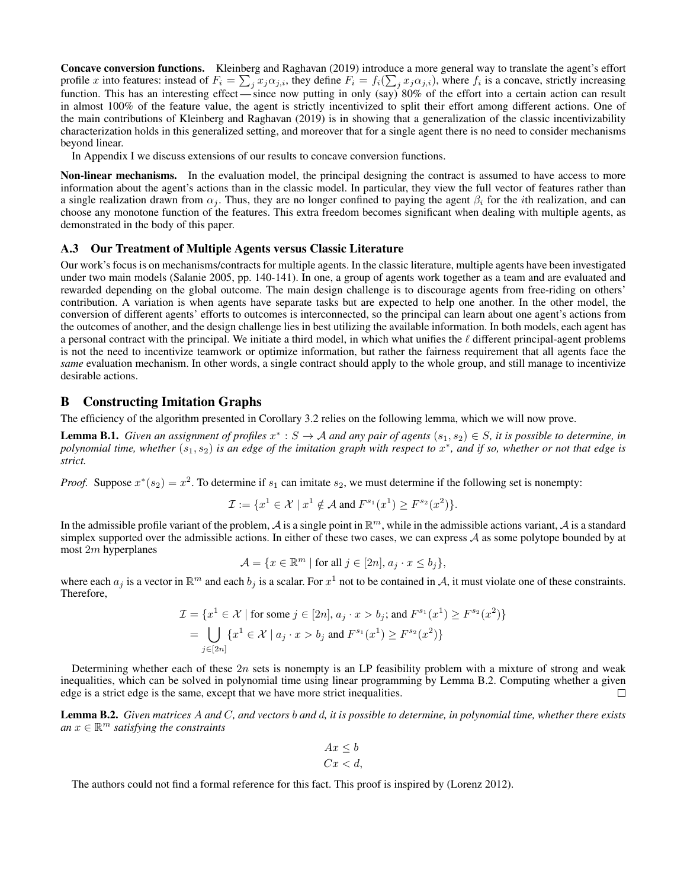Concave conversion functions. Kleinberg and Raghavan (2019) introduce a more general way to translate the agent's effort profile x into features: instead of  $F_i = \sum_j x_j \alpha_{j,i}$ , they define  $F_i = f_i(\sum_j x_j \alpha_{j,i})$ , where  $f_i$  is a concave, strictly increasing function. This has an interesting effect — since now putting in only (say) 80% of the effort into a certain action can result in almost 100% of the feature value, the agent is strictly incentivized to split their effort among different actions. One of the main contributions of Kleinberg and Raghavan (2019) is in showing that a generalization of the classic incentivizability characterization holds in this generalized setting, and moreover that for a single agent there is no need to consider mechanisms beyond linear.

In Appendix I we discuss extensions of our results to concave conversion functions.

Non-linear mechanisms. In the evaluation model, the principal designing the contract is assumed to have access to more information about the agent's actions than in the classic model. In particular, they view the full vector of features rather than a single realization drawn from  $\alpha_i$ . Thus, they are no longer confined to paying the agent  $\beta_i$  for the *i*th realization, and can choose any monotone function of the features. This extra freedom becomes significant when dealing with multiple agents, as demonstrated in the body of this paper.

#### A.3 Our Treatment of Multiple Agents versus Classic Literature

Our work's focus is on mechanisms/contracts for multiple agents. In the classic literature, multiple agents have been investigated under two main models (Salanie 2005, pp. 140-141). In one, a group of agents work together as a team and are evaluated and rewarded depending on the global outcome. The main design challenge is to discourage agents from free-riding on others' contribution. A variation is when agents have separate tasks but are expected to help one another. In the other model, the conversion of different agents' efforts to outcomes is interconnected, so the principal can learn about one agent's actions from the outcomes of another, and the design challenge lies in best utilizing the available information. In both models, each agent has a personal contract with the principal. We initiate a third model, in which what unifies the  $\ell$  different principal-agent problems is not the need to incentivize teamwork or optimize information, but rather the fairness requirement that all agents face the *same* evaluation mechanism. In other words, a single contract should apply to the whole group, and still manage to incentivize desirable actions.

## B Constructing Imitation Graphs

The efficiency of the algorithm presented in Corollary 3.2 relies on the following lemma, which we will now prove.

**Lemma B.1.** Given an assignment of profiles  $x^*: S \to A$  and any pair of agents  $(s_1, s_2) \in S$ , it is possible to determine, in polynomial time, whether  $(s_1, s_2)$  is an edge of the imitation graph with respect to  $x^*$ , and if so, whether or not that edge is *strict.*

*Proof.* Suppose  $x^*(s_2) = x^2$ . To determine if  $s_1$  can imitate  $s_2$ , we must determine if the following set is nonempty:

$$
\mathcal{I} := \{x^1 \in \mathcal{X} \mid x^1 \notin \mathcal{A} \text{ and } F^{s_1}(x^1) \ge F^{s_2}(x^2) \}.
$$

In the admissible profile variant of the problem, A is a single point in  $\mathbb{R}^m$ , while in the admissible actions variant, A is a standard simplex supported over the admissible actions. In either of these two cases, we can express A as some polytope bounded by at most 2m hyperplanes

$$
\mathcal{A} = \{ x \in \mathbb{R}^m \mid \text{for all } j \in [2n], a_j \cdot x \le b_j \},
$$

where each  $a_j$  is a vector in  $\mathbb{R}^m$  and each  $b_j$  is a scalar. For  $x^1$  not to be contained in A, it must violate one of these constraints. Therefore,

$$
\mathcal{I} = \{x^1 \in \mathcal{X} \mid \text{for some } j \in [2n], a_j \cdot x > b_j; \text{ and } F^{s_1}(x^1) \ge F^{s_2}(x^2) \}
$$
  
= 
$$
\bigcup_{j \in [2n]} \{x^1 \in \mathcal{X} \mid a_j \cdot x > b_j \text{ and } F^{s_1}(x^1) \ge F^{s_2}(x^2) \}
$$

Determining whether each of these  $2n$  sets is nonempty is an LP feasibility problem with a mixture of strong and weak inequalities, which can be solved in polynomial time using linear programming by Lemma B.2. Computing whether a given edge is a strict edge is the same, except that we have more strict inequalities.  $\Box$ 

Lemma B.2. *Given matrices* A *and* C*, and vectors* b *and* d*, it is possible to determine, in polynomial time, whether there exists*  $an x \in \mathbb{R}^m$  *satisfying the constraints* 

$$
Ax \le b
$$
  

$$
Cx < d,
$$

The authors could not find a formal reference for this fact. This proof is inspired by (Lorenz 2012).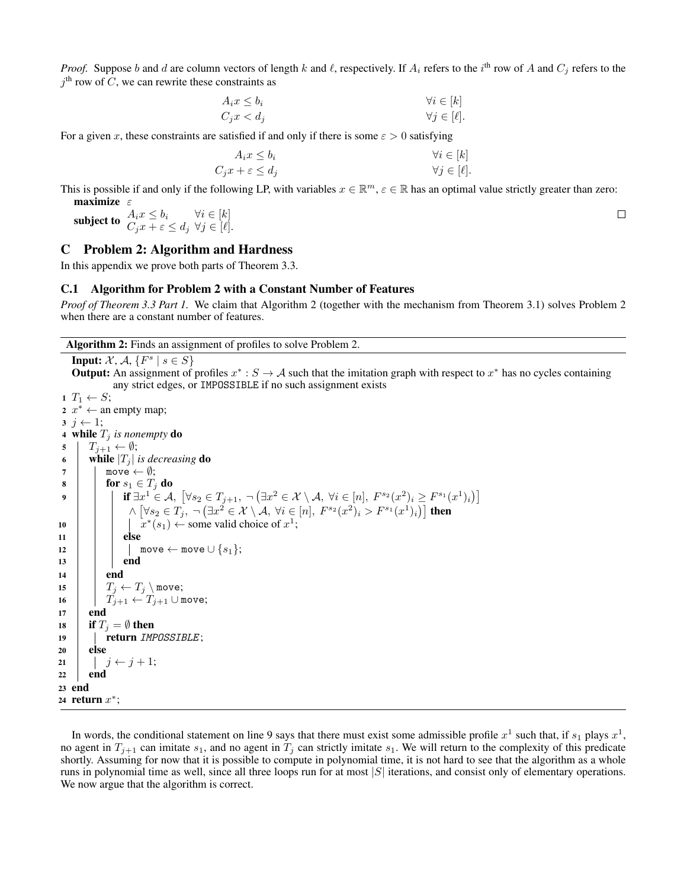*Proof.* Suppose b and d are column vectors of length k and l, respectively. If  $A_i$  refers to the i<sup>th</sup> row of A and  $C_j$  refers to the  $j<sup>th</sup>$  row of C, we can rewrite these constraints as

$$
A_i x \le b_i
$$
  
\n
$$
C_j x < d_j
$$
\n
$$
\forall i \in [k]
$$
  
\n
$$
\forall j \in [\ell].
$$

For a given x, these constraints are satisfied if and only if there is some  $\varepsilon > 0$  satisfying

$$
A_i x \le b_i
$$
  
\n
$$
C_j x + \varepsilon \le d_j
$$
  
\n
$$
\forall i \in [k]
$$
  
\n
$$
\forall j \in [\ell].
$$

This is possible if and only if the following LP, with variables  $x \in \mathbb{R}^m$ ,  $\varepsilon \in \mathbb{R}$  has an optimal value strictly greater than zero: maximize  $\varepsilon$ 

subject to  $\begin{array}{ll} A_i x \leq b_i & \forall i \in [k] \ C_j x + \varepsilon \leq d_j \ \ \forall j \in [\ell]. \end{array}$ 

## C Problem 2: Algorithm and Hardness

In this appendix we prove both parts of Theorem 3.3.

#### C.1 Algorithm for Problem 2 with a Constant Number of Features

*Proof of Theorem 3.3 Part 1.* We claim that Algorithm 2 (together with the mechanism from Theorem 3.1) solves Problem 2 when there are a constant number of features.

#### Algorithm 2: Finds an assignment of profiles to solve Problem 2.

**Input:**  $\mathcal{X}, \mathcal{A}, \{F^s \mid s \in S\}$ 

**Output:** An assignment of profiles  $x^* : S \to A$  such that the imitation graph with respect to  $x^*$  has no cycles containing any strict edges, or IMPOSSIBLE if no such assignment exists

```
1 T_1 \leftarrow S;
 2 x^* \leftarrow an empty map;
 j \leftarrow 1;
 4 while T_i is nonempty do
 5 \mid T_{i+1} \leftarrow \emptyset;6 while |T_j| is decreasing do
 7 \parallel \mod{\theta}:
 8 for s_1 \in T_i do
 9 if \exists x^1 \in \mathcal{A}, \ [\forall s_2 \in T_{j+1}, \ \neg \big(\exists x^2 \in \mathcal{X} \setminus \mathcal{A}, \ \forall i \in [n], \ F^{s_2}(x^2)_i \geq F^{s_1}(x^1)_i \big)\wedge \left[ \forall s_2 \in T_j, \; \neg \left( \exists x^2 \in \mathcal{X} \setminus \mathcal{A}, \, \forall i \in [n], \, F^{s_2}(x^2)_i > F^{s_1}(x^1)_i \right) \right] then
10 | | x^*(s_1) \leftarrow some valid choice of x^1;
11 else
12 | | | move \leftarrow move \cup \{s_1\};13 end
14 end
15 T_i \leftarrow T_i \setminus \text{move};16 \left| \right| T_{j+1} \leftarrow T_{j+1} \cup \text{move};17 end
18 if T_i = \emptyset then
19 | return IMPOSSIBLE;
20 else
21 j \leftarrow j + 1;22 end
23 end
24 return x^*;
```
In words, the conditional statement on line 9 says that there must exist some admissible profile  $x^1$  such that, if  $s_1$  plays  $x^1$ , no agent in  $T_{j+1}$  can imitate  $s_1$ , and no agent in  $T_j$  can strictly imitate  $s_1$ . We will return to the complexity of this predicate shortly. Assuming for now that it is possible to compute in polynomial time, it is not hard to see that the algorithm as a whole runs in polynomial time as well, since all three loops run for at most  $|S|$  iterations, and consist only of elementary operations. We now argue that the algorithm is correct.

 $\Box$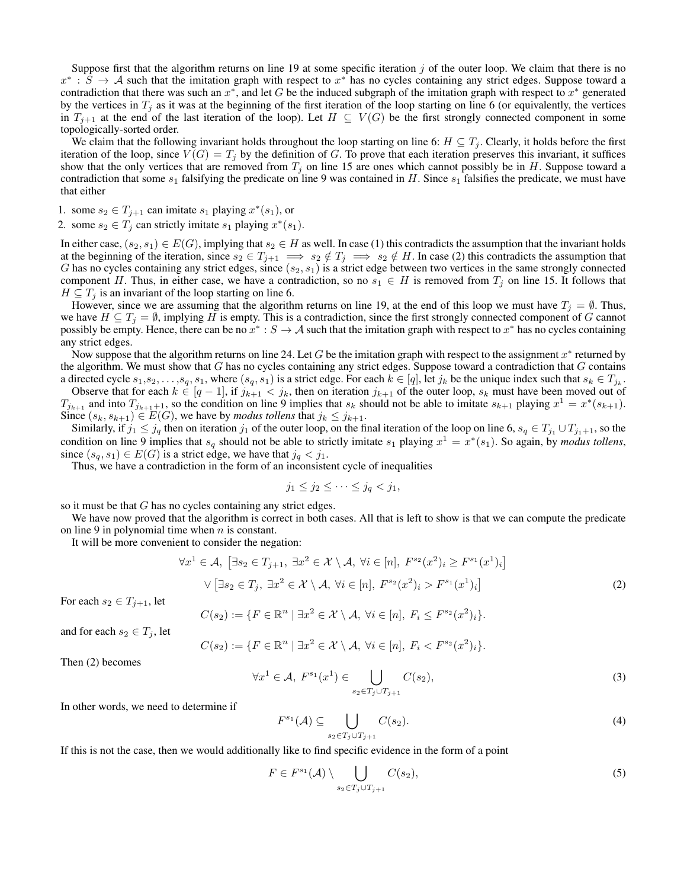Suppose first that the algorithm returns on line 19 at some specific iteration  $j$  of the outer loop. We claim that there is no  $x^*$ :  $\hat{S}$   $\rightarrow$  A such that the imitation graph with respect to  $x^*$  has no cycles containing any strict edges. Suppose toward a contradiction that there was such an  $x^*$ , and let G be the induced subgraph of the imitation graph with respect to  $x^*$  generated by the vertices in  $T_j$  as it was at the beginning of the first iteration of the loop starting on line 6 (or equivalently, the vertices in  $T_{j+1}$  at the end of the last iteration of the loop). Let  $H \subseteq V(G)$  be the first strongly connected component in some topologically-sorted order.

We claim that the following invariant holds throughout the loop starting on line 6:  $H \subseteq T_j$ . Clearly, it holds before the first iteration of the loop, since  $V(G) = T<sub>i</sub>$  by the definition of G. To prove that each iteration preserves this invariant, it suffices show that the only vertices that are removed from  $T_j$  on line 15 are ones which cannot possibly be in H. Suppose toward a contradiction that some  $s_1$  falsifying the predicate on line 9 was contained in H. Since  $s_1$  falsifies the predicate, we must have that either

- 1. some  $s_2 \in T_{j+1}$  can imitate  $s_1$  playing  $x^*(s_1)$ , or
- 2. some  $s_2 \in T_j$  can strictly imitate  $s_1$  playing  $x^*(s_1)$ .

In either case,  $(s_2, s_1) \in E(G)$ , implying that  $s_2 \in H$  as well. In case (1) this contradicts the assumption that the invariant holds at the beginning of the iteration, since  $s_2 \in T_{j+1} \implies s_2 \notin T_j \implies s_2 \notin H$ . In case (2) this contradicts the assumption that G has no cycles containing any strict edges, since  $(s_2, s_1)$  is a strict edge between two vertices in the same strongly connected component H. Thus, in either case, we have a contradiction, so no  $s_1 \in H$  is removed from  $T_j$  on line 15. It follows that  $H \subseteq T_i$  is an invariant of the loop starting on line 6.

However, since we are assuming that the algorithm returns on line 19, at the end of this loop we must have  $T_j = \emptyset$ . Thus, we have  $H \subseteq T_j = \emptyset$ , implying H is empty. This is a contradiction, since the first strongly connected component of G cannot possibly be empty. Hence, there can be no  $x^*: S \to A$  such that the imitation graph with respect to  $x^*$  has no cycles containing any strict edges.

Now suppose that the algorithm returns on line 24. Let G be the imitation graph with respect to the assignment  $x^*$  returned by the algorithm. We must show that  $G$  has no cycles containing any strict edges. Suppose toward a contradiction that  $G$  contains a directed cycle  $s_1, s_2, \ldots, s_q, s_1$ , where  $(s_q, s_1)$  is a strict edge. For each  $k \in [q]$ , let  $j_k$  be the unique index such that  $s_k \in T_{j_k}$ . Observe that for each  $k \in [q-1]$ , if  $j_{k+1} < j_k$ , then on iteration  $j_{k+1}$  of the outer loop,  $s_k$  must have been moved out of  $T_{j_{k+1}}$  and into  $T_{j_{k+1}+1}$ , so the condition on line 9 implies that  $s_k$  should not be able to imitate  $s_{k+1}$  playing  $x^1 = x^*(s_{k+1})$ .

Since  $(s_k, s_{k+1}) \in E(G)$ , we have by *modus tollens* that  $j_k \leq j_{k+1}$ . Similarly, if  $j_1 \le j_q$  then on iteration  $j_1$  of the outer loop, on the final iteration of the loop on line 6,  $s_q \in T_{j_1} \cup T_{j_1+1}$ , so the

condition on line 9 implies that  $s_q$  should not be able to strictly imitate  $s_1$  playing  $x^1 = x^*(s_1)$ . So again, by *modus tollens*, since  $(s_q, s_1) \in E(G)$  is a strict edge, we have that  $j_q < j_1$ .

Thus, we have a contradiction in the form of an inconsistent cycle of inequalities

$$
j_1 \leq j_2 \leq \cdots \leq j_q < j_1,
$$

so it must be that G has no cycles containing any strict edges.

We have now proved that the algorithm is correct in both cases. All that is left to show is that we can compute the predicate on line 9 in polynomial time when  $n$  is constant.

It will be more convenient to consider the negation:

$$
\forall x^{1} \in \mathcal{A}, \left[\exists s_{2} \in T_{j+1}, \exists x^{2} \in \mathcal{X} \setminus \mathcal{A}, \forall i \in [n], F^{s_{2}}(x^{2})_{i} \ge F^{s_{1}}(x^{1})_{i}\right]
$$

$$
\vee \left[\exists s_{2} \in T_{j}, \exists x^{2} \in \mathcal{X} \setminus \mathcal{A}, \forall i \in [n], F^{s_{2}}(x^{2})_{i} > F^{s_{1}}(x^{1})_{i}\right]
$$

$$
G(\cdot) \left(\sum_{i} \in \mathbb{R}^{n} \setminus \mathbb{R}^{n} \setminus \mathbb{R}^{n} \setminus \mathbb{R}^{n} \setminus \mathbb{R}^{n} \setminus \mathbb{R}^{n} \setminus \mathbb{R}^{n} \setminus \mathbb{R}^{n} \setminus \mathbb{R}^{n} \setminus \mathbb{R}^{n} \setminus \mathbb{R}^{n} \right]
$$

$$
(2)
$$

For each  $s_2 \in T_{i+1}$ , let

$$
C(s_2) := \{ F \in \mathbb{R}^n \mid \exists x^2 \in \mathcal{X} \setminus \mathcal{A}, \ \forall i \in [n], \ F_i \leq F^{s_2}(x^2)_i \}.
$$

and for each  $s_2 \in T_i$ , let

$$
C(s_2) := \{ F \in \mathbb{R}^n \mid \exists x^2 \in \mathcal{X} \setminus \mathcal{A}, \ \forall i \in [n], \ F_i < F^{s_2}(x^2)_i \}.
$$

Then (2) becomes

$$
\forall x^1 \in \mathcal{A}, \ F^{s_1}(x^1) \in \bigcup_{s_2 \in T_j \cup T_{j+1}} C(s_2),\tag{3}
$$

In other words, we need to determine if

$$
F^{s_1}(\mathcal{A}) \subseteq \bigcup_{s_2 \in T_j \cup T_{j+1}} C(s_2). \tag{4}
$$

If this is not the case, then we would additionally like to find specific evidence in the form of a point

$$
F \in F^{s_1}(\mathcal{A}) \setminus \bigcup_{s_2 \in T_j \cup T_{j+1}} C(s_2),\tag{5}
$$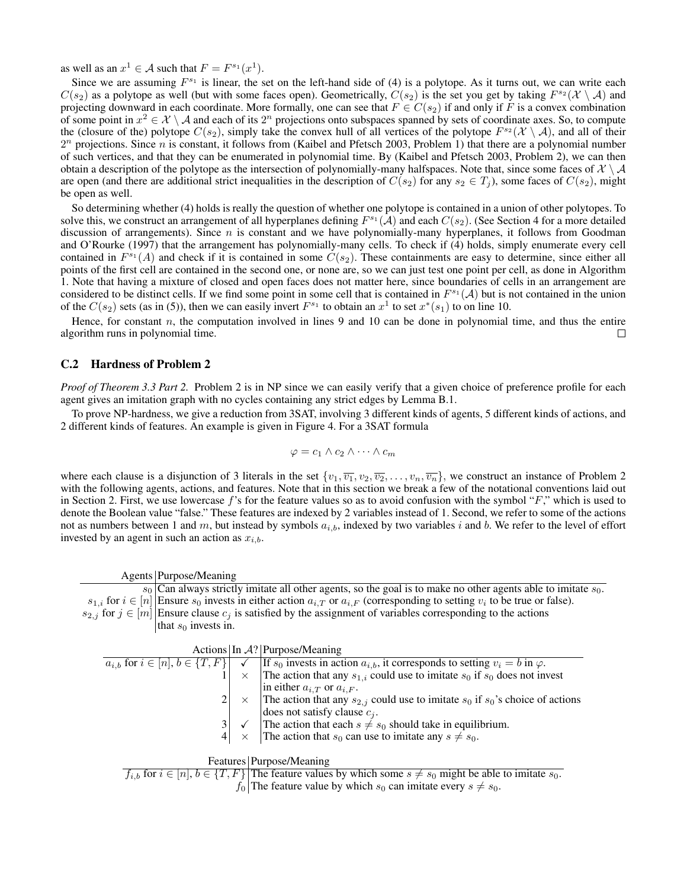as well as an  $x^1 \in A$  such that  $F = F^{s_1}(x^1)$ .

Since we are assuming  $F^{s_1}$  is linear, the set on the left-hand side of (4) is a polytope. As it turns out, we can write each  $C(s_2)$  as a polytope as well (but with some faces open). Geometrically,  $C(s_2)$  is the set you get by taking  $F^{s_2}(\mathcal{X} \setminus \mathcal{A})$  and projecting downward in each coordinate. More formally, one can see that  $F \in C(s_2)$  if and only if F is a convex combination of some point in  $x^2 \in \mathcal{X} \setminus \mathcal{A}$  and each of its  $2^n$  projections onto subspaces spanned by sets of coordinate axes. So, to compute the (closure of the) polytope  $C(s_2)$ , simply take the convex hull of all vertices of the polytope  $F^{s_2}(\mathcal{X} \setminus \mathcal{A})$ , and all of their  $2<sup>n</sup>$  projections. Since n is constant, it follows from (Kaibel and Pfetsch 2003, Problem 1) that there are a polynomial number of such vertices, and that they can be enumerated in polynomial time. By (Kaibel and Pfetsch 2003, Problem 2), we can then obtain a description of the polytope as the intersection of polynomially-many halfspaces. Note that, since some faces of  $\mathcal{X} \setminus \mathcal{A}$ are open (and there are additional strict inequalities in the description of  $C(s_2)$  for any  $s_2 \in T_i$ ), some faces of  $C(s_2)$ , might be open as well.

So determining whether (4) holds is really the question of whether one polytope is contained in a union of other polytopes. To solve this, we construct an arrangement of all hyperplanes defining  $F^{s_1}(\mathcal{A})$  and each  $C(s_2)$ . (See Section 4 for a more detailed discussion of arrangements). Since  $n$  is constant and we have polynomially-many hyperplanes, it follows from Goodman and O'Rourke (1997) that the arrangement has polynomially-many cells. To check if (4) holds, simply enumerate every cell contained in  $F^{s_1}(A)$  and check if it is contained in some  $C(s_2)$ . These containments are easy to determine, since either all points of the first cell are contained in the second one, or none are, so we can just test one point per cell, as done in Algorithm 1. Note that having a mixture of closed and open faces does not matter here, since boundaries of cells in an arrangement are considered to be distinct cells. If we find some point in some cell that is contained in  $F^{s_1}(\mathcal{A})$  but is not contained in the union of the  $C(s_2)$  sets (as in (5)), then we can easily invert  $F^{s_1}$  to obtain an  $x^1$  to set  $x^*(s_1)$  to on line 10.

Hence, for constant  $n$ , the computation involved in lines 9 and 10 can be done in polynomial time, and thus the entire algorithm runs in polynomial time.  $\Box$ 

#### C.2 Hardness of Problem 2

*Proof of Theorem 3.3 Part 2.* Problem 2 is in NP since we can easily verify that a given choice of preference profile for each agent gives an imitation graph with no cycles containing any strict edges by Lemma B.1.

To prove NP-hardness, we give a reduction from 3SAT, involving 3 different kinds of agents, 5 different kinds of actions, and 2 different kinds of features. An example is given in Figure 4. For a 3SAT formula

$$
\varphi = c_1 \wedge c_2 \wedge \cdots \wedge c_m
$$

where each clause is a disjunction of 3 literals in the set  $\{v_1, \overline{v_1}, v_2, \overline{v_2}, \ldots, v_n, \overline{v_n}\}$ , we construct an instance of Problem 2 with the following agents, actions, and features. Note that in this section we break a few of the notational conventions laid out in Section 2. First, we use lowercase f's for the feature values so as to avoid confusion with the symbol " $F$ ," which is used to denote the Boolean value "false." These features are indexed by 2 variables instead of 1. Second, we refer to some of the actions not as numbers between 1 and m, but instead by symbols  $a_{i,b}$ , indexed by two variables i and b. We refer to the level of effort invested by an agent in such an action as  $x_{i,b}$ .

Agents Purpose/Meaning  $s_0$  Can always strictly imitate all other agents, so the goal is to make no other agents able to imitate  $s_0$ .  $s_{1,i}$  for  $i \in [n]$  Ensure  $s_0$  invests in either action  $a_{i,T}$  or  $a_{i,F}$  (corresponding to setting  $v_i$  to be true or false).  $s_{2,j}$  for  $j \in [m]$  Ensure clause  $c_j$  is satisfied by the assignment of variables corresponding to the actions that  $s_0$  invests in.

|                                                                                                               |  | Actions In $A$ ? Purpose/Meaning                                                                                                                                                                 |  |  |
|---------------------------------------------------------------------------------------------------------------|--|--------------------------------------------------------------------------------------------------------------------------------------------------------------------------------------------------|--|--|
|                                                                                                               |  | $a_{i,b}$ for $i \in [n], b \in \{T, F\}$ $\vee$ If $s_0$ invests in action $a_{i,b}$ , it corresponds to setting $v_i = b$ in $\varphi$ .                                                       |  |  |
|                                                                                                               |  | $\times$ The action that any $s_{1,i}$ could use to imitate $s_0$ if $s_0$ does not invest                                                                                                       |  |  |
|                                                                                                               |  | in either $a_{i,T}$ or $a_{i,F}$ .                                                                                                                                                               |  |  |
|                                                                                                               |  | 2 $\times$ The action that any $s_{2,j}$ could use to imitate $s_0$ if $s_0$ 's choice of actions                                                                                                |  |  |
|                                                                                                               |  |                                                                                                                                                                                                  |  |  |
|                                                                                                               |  | $\begin{array}{c c}\n3 & \checkmark \\ \hline\n\end{array}$ The action that each $s \neq s_0$ should take in equilibrium.<br>$4 \times \text{The action that } s_0$ can use to invite the square |  |  |
|                                                                                                               |  | $\times$ The action that $s_0$ can use to imitate any $s \neq s_0$ .                                                                                                                             |  |  |
|                                                                                                               |  |                                                                                                                                                                                                  |  |  |
| Features   Purpose/Meaning                                                                                    |  |                                                                                                                                                                                                  |  |  |
| f, for $i \in [n]$ $h \in \{T, F\}$ The feature values by which some $s \neq s_0$ might be able to imitate so |  |                                                                                                                                                                                                  |  |  |

 $f_{i,b}$  for  $i \in [n], b \in \{T, F\}$  The feature values by which some  $s \neq s_0$  might be able to imitate  $s_0$ .  $f_0$  The feature value by which  $s_0$  can imitate every  $s \neq s_0$ .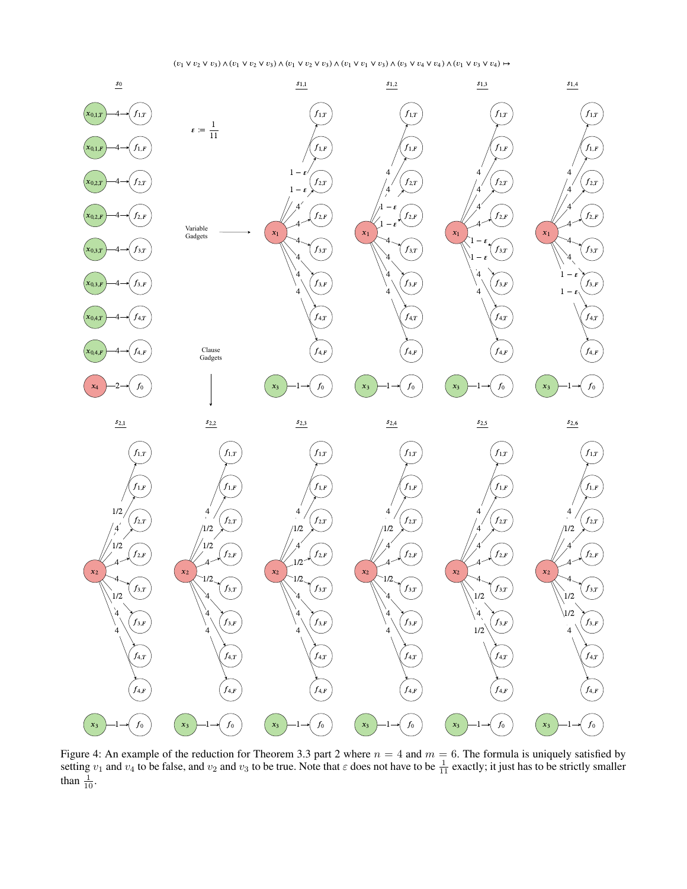# $(v_1 \vee v_2 \vee \overline{v_3}) \wedge (\overline{v_1} \vee v_2 \vee v_3) \wedge (\overline{v_1} \vee \overline{v_2} \vee v_3) \wedge (\overline{v_1} \vee \overline{v_1} \vee v_1 \vee v_3) \wedge (\overline{v_2} \vee \overline{v_3} \vee \overline{v_4}) \wedge (\overline{v_1} \vee \overline{v_3} \vee v_4) \mapsto$



Figure 4: An example of the reduction for Theorem 3.3 part 2 where  $n = 4$  and  $m = 6$ . The formula is uniquely satisfied by setting  $v_1$  and  $v_4$  to be false, and  $v_2$  and  $v_3$  to be true. Note that  $\varepsilon$  does not have to be  $\frac{1}{11}$  exactly; it just has to be strictly smaller than  $\frac{1}{10}$ .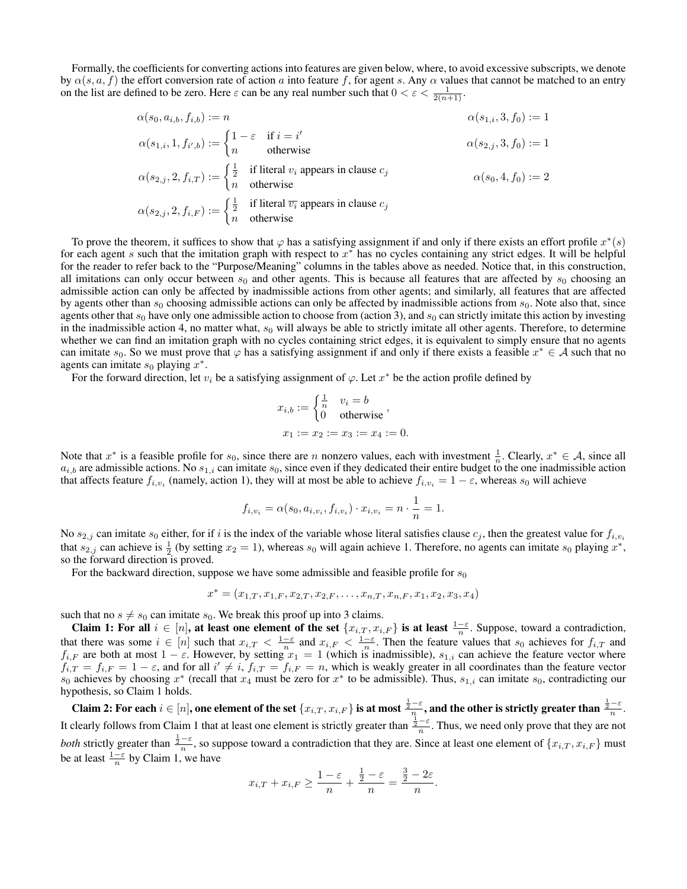Formally, the coefficients for converting actions into features are given below, where, to avoid excessive subscripts, we denote by  $\alpha(s, a, f)$  the effort conversion rate of action a into feature f, for agent s. Any  $\alpha$  values that cannot be matched to an entry on the list are defined to be zero. Here  $\varepsilon$  can be any real number such that  $0 < \varepsilon < \frac{1}{2(n+1)}$ .

$$
\alpha(s_0, a_{i,b}, f_{i,b}) := n
$$
\n
$$
\alpha(s_{1,i}, 1, f_{i',b}) := \begin{cases}\n1 - \varepsilon & \text{if } i = i' \\
n & \text{otherwise}\n\end{cases}
$$
\n
$$
\alpha(s_{2,i}, 2, f_{i,T}) := \begin{cases}\n\frac{1}{2} & \text{if literal } v_i \text{ appears in clause } c_j \\
n & \text{otherwise}\n\end{cases}
$$
\n
$$
\alpha(s_{2,i}, 2, f_{i,T}) := \begin{cases}\n\frac{1}{2} & \text{if literal } v_i \text{ appears in clause } c_j \\
n & \text{otherwise}\n\end{cases}
$$
\n
$$
\alpha(s_{2,i}, 2, f_{i,T}) := \begin{cases}\n\frac{1}{2} & \text{if literal } \overline{v_i} \text{ appears in clause } c_j \\
n & \text{otherwise}\n\end{cases}
$$

To prove the theorem, it suffices to show that  $\varphi$  has a satisfying assignment if and only if there exists an effort profile  $x^*(s)$ for each agent s such that the imitation graph with respect to  $x^*$  has no cycles containing any strict edges. It will be helpful for the reader to refer back to the "Purpose/Meaning" columns in the tables above as needed. Notice that, in this construction, all imitations can only occur between  $s_0$  and other agents. This is because all features that are affected by  $s_0$  choosing an admissible action can only be affected by inadmissible actions from other agents; and similarly, all features that are affected by agents other than  $s_0$  choosing admissible actions can only be affected by inadmissible actions from  $s_0$ . Note also that, since agents other that  $s_0$  have only one admissible action to choose from (action 3), and  $s_0$  can strictly imitate this action by investing in the inadmissible action 4, no matter what,  $s_0$  will always be able to strictly imitate all other agents. Therefore, to determine whether we can find an imitation graph with no cycles containing strict edges, it is equivalent to simply ensure that no agents can imitate  $s_0$ . So we must prove that  $\varphi$  has a satisfying assignment if and only if there exists a feasible  $x^* \in A$  such that no agents can imitate  $s_0$  playing  $x^*$ .

For the forward direction, let  $v_i$  be a satisfying assignment of  $\varphi$ . Let  $x^*$  be the action profile defined by

$$
x_{i,b} := \begin{cases} \frac{1}{n} & v_i = b \\ 0 & \text{otherwise} \end{cases},
$$
  

$$
x_1 := x_2 := x_3 := x_4 := 0.
$$

Note that  $x^*$  is a feasible profile for  $s_0$ , since there are n nonzero values, each with investment  $\frac{1}{n}$ . Clearly,  $x^* \in A$ , since all  $a_{i,b}$  are admissible actions. No  $s_{1,i}$  can imitate  $s_0$ , since even if they dedicated their entire budget to the one inadmissible action that affects feature  $f_{i,v_i}$  (namely, action 1), they will at most be able to achieve  $f_{i,v_i} = 1 - \varepsilon$ , whereas  $s_0$  will achieve

$$
f_{i,v_i} = \alpha(s_0, a_{i,v_i}, f_{i,v_i}) \cdot x_{i,v_i} = n \cdot \frac{1}{n} = 1.
$$

No  $s_{2,j}$  can imitate  $s_0$  either, for if i is the index of the variable whose literal satisfies clause  $c_j$ , then the greatest value for  $f_{i,v_i}$ that  $s_{2,j}$  can achieve is  $\frac{1}{2}$  (by setting  $x_2 = 1$ ), whereas  $s_0$  will again achieve 1. Therefore, no agents can imitate  $s_0$  playing  $x^*$ , so the forward direction is proved.

For the backward direction, suppose we have some admissible and feasible profile for  $s_0$ 

$$
x^* = (x_{1,T}, x_{1,F}, x_{2,T}, x_{2,F}, \dots, x_{n,T}, x_{n,F}, x_1, x_2, x_3, x_4)
$$

such that no  $s \neq s_0$  can imitate  $s_0$ . We break this proof up into 3 claims.

Claim 1: For all  $i \in [n]$ , at least one element of the set  $\{x_{i,T}, x_{i,F}\}$  is at least  $\frac{1-\varepsilon}{n}$ . Suppose, toward a contradiction, that there was some  $i \in [n]$  such that  $x_{i,T} < \frac{1-\varepsilon}{n}$  and  $x_{i,F} < \frac{1-\varepsilon}{n}$ . Then the feature values that  $s_0$  achieves for  $f_{i,T}$  and  $f_{i,F}$  are both at most  $1 - \varepsilon$ . However, by setting  $x_1 = 1$  (which is inadmissible),  $s_{1,i}$  can achieve the feature vector where  $f_{i,T} = f_{i,F} = 1 - \varepsilon$ , and for all  $i' \neq i$ ,  $f_{i,T} = f_{i,F} = n$ , which is weakly greater in all coordinates than the feature vector  $s_0$  achieves by choosing  $x^*$  (recall that  $x_4$  must be zero for  $x^*$  to be admissible). Thus,  $s_{1,i}$  can imitate  $s_0$ , contradicting our hypothesis, so Claim 1 holds.

Claim 2: For each  $i\in [n],$  one element of the set  $\{x_{i,T},x_{i,F}\}$  is at most  $\frac{\frac{1}{2}-\varepsilon}{n}$ , and the other is strictly greater than  $\frac{\frac{1}{2}-\varepsilon}{n}.$ It clearly follows from Claim 1 that at least one element is strictly greater than  $\frac{\frac{1}{2}-\varepsilon}{n}$ . Thus, we need only prove that they are not *both* strictly greater than  $\frac{\frac{1}{2} - \varepsilon}{n}$ , so suppose toward a contradiction that they are. Since at least one element of  $\{x_{i,T}, x_{i,F}\}$  must be at least  $\frac{1-\varepsilon}{n}$  by Claim 1, we have

$$
x_{i,T} + x_{i,F} \ge \frac{1-\varepsilon}{n} + \frac{\frac{1}{2}-\varepsilon}{n} = \frac{\frac{3}{2}-2\varepsilon}{n}.
$$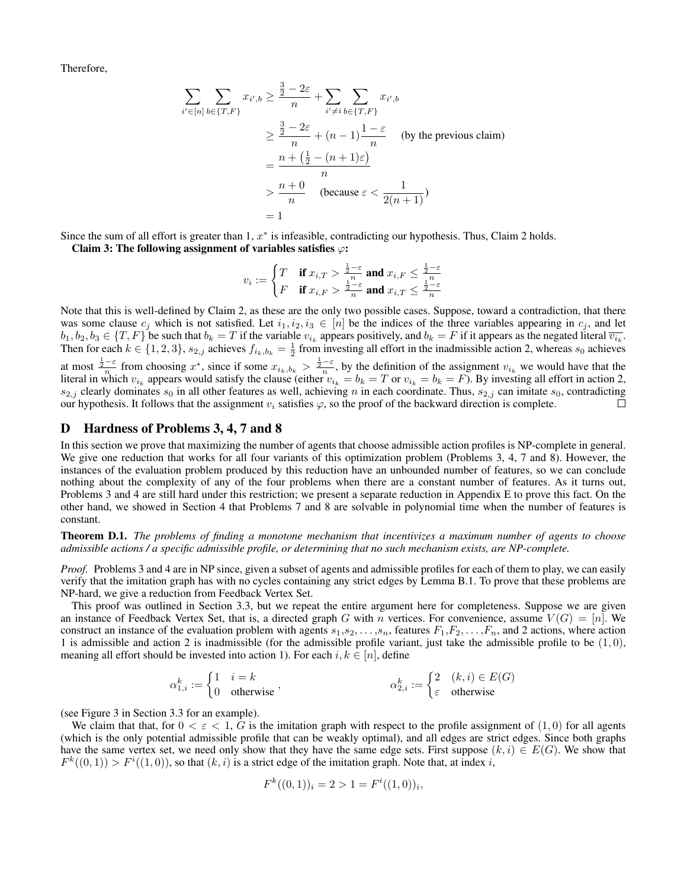Therefore,

$$
\sum_{i' \in [n]} \sum_{b \in \{T, F\}} x_{i',b} \ge \frac{\frac{3}{2} - 2\varepsilon}{n} + \sum_{i' \ne i} \sum_{b \in \{T, F\}} x_{i',b}
$$
\n
$$
\ge \frac{\frac{3}{2} - 2\varepsilon}{n} + (n - 1) \frac{1 - \varepsilon}{n} \quad \text{(by the previous claim)}
$$
\n
$$
= \frac{n + (\frac{1}{2} - (n + 1)\varepsilon)}{n}
$$
\n
$$
> \frac{n + 0}{n} \quad \text{(because } \varepsilon < \frac{1}{2(n + 1)})
$$
\n
$$
= 1
$$

Since the sum of all effort is greater than  $1, x^*$  is infeasible, contradicting our hypothesis. Thus, Claim 2 holds. Claim 3: The following assignment of variables satisfies  $\varphi$ :

$$
v_i := \begin{cases} T & \text{if } x_{i,T} > \frac{\frac{1}{2} - \varepsilon}{n} \text{ and } x_{i,F} \le \frac{\frac{1}{2} - \varepsilon}{n} \\ F & \text{if } x_{i,F} > \frac{\frac{1}{2} - \varepsilon}{n} \text{ and } x_{i,T} \le \frac{\frac{1}{2} - \varepsilon}{n} \end{cases}
$$

Note that this is well-defined by Claim 2, as these are the only two possible cases. Suppose, toward a contradiction, that there was some clause  $c_i$  which is not satisfied. Let  $i_1, i_2, i_3 \in [n]$  be the indices of the three variables appearing in  $c_i$ , and let  $b_1, b_2, b_3 \in \{T, F\}$  be such that  $b_k = T$  if the variable  $v_{i_k}$  appears positively, and  $b_k = F$  if it appears as the negated literal  $\overline{v_{i_k}}$ . Then for each  $k \in \{1, 2, 3\}$ ,  $s_{2,j}$  achieves  $f_{i_k, b_k} = \frac{1}{2}$  from investing all effort in the inadmissible action 2, whereas  $s_0$  achieves at most  $\frac{\frac{1}{2}-\varepsilon}{n}$  from choosing  $x^*$ , since if some  $x_{i_k,b_k} > \frac{\frac{1}{2}-\varepsilon}{n}$ , by the definition of the assignment  $v_{i_k}$  we would have that the literal in which  $v_{i_k}$  appears would satisfy the clause (either  $v_{i_k} = b_k = T$  or  $v_{i_k} = b_k = F$ ). By investing all effort in action 2,  $s_{2,j}$  clearly dominates  $s_0$  in all other features as well, achieving n in each coordinate. Thus,  $s_{2,j}$  can imitate  $s_0$ , contradicting our hypothesis. It follows that the assignment  $v_i$  satisfies  $\varphi$ , so the proof of the backward direction is complete. П

#### D Hardness of Problems 3, 4, 7 and 8

In this section we prove that maximizing the number of agents that choose admissible action profiles is NP-complete in general. We give one reduction that works for all four variants of this optimization problem (Problems 3, 4, 7 and 8). However, the instances of the evaluation problem produced by this reduction have an unbounded number of features, so we can conclude nothing about the complexity of any of the four problems when there are a constant number of features. As it turns out, Problems 3 and 4 are still hard under this restriction; we present a separate reduction in Appendix E to prove this fact. On the other hand, we showed in Section 4 that Problems 7 and 8 are solvable in polynomial time when the number of features is constant.

Theorem D.1. *The problems of finding a monotone mechanism that incentivizes a maximum number of agents to choose admissible actions / a specific admissible profile, or determining that no such mechanism exists, are NP-complete.*

*Proof.* Problems 3 and 4 are in NP since, given a subset of agents and admissible profiles for each of them to play, we can easily verify that the imitation graph has with no cycles containing any strict edges by Lemma B.1. To prove that these problems are NP-hard, we give a reduction from Feedback Vertex Set.

This proof was outlined in Section 3.3, but we repeat the entire argument here for completeness. Suppose we are given an instance of Feedback Vertex Set, that is, a directed graph G with n vertices. For convenience, assume  $V(G) = [n]$ . We construct an instance of the evaluation problem with agents  $s_1, s_2, \ldots, s_n$ , features  $F_1, F_2, \ldots, F_n$ , and 2 actions, where action 1 is admissible and action 2 is inadmissible (for the admissible profile variant, just take the admissible profile to be  $(1, 0)$ , meaning all effort should be invested into action 1). For each  $i, k \in [n]$ , define

$$
\alpha_{1,i}^k := \begin{cases} 1 & i = k \\ 0 & \text{otherwise} \end{cases}, \qquad \qquad \alpha_{2,i}^k := \begin{cases} 2 & (k,i) \in E(G) \\ \varepsilon & \text{otherwise} \end{cases}
$$

(see Figure 3 in Section 3.3 for an example).

We claim that that, for  $0 < \varepsilon < 1$ , G is the imitation graph with respect to the profile assignment of  $(1,0)$  for all agents (which is the only potential admissible profile that can be weakly optimal), and all edges are strict edges. Since both graphs have the same vertex set, we need only show that they have the same edge sets. First suppose  $(k, i) \in E(G)$ . We show that  $F^{k}((0,1)) > F^{i}((1,0))$ , so that  $(k, i)$  is a strict edge of the imitation graph. Note that, at index i,

$$
F^k((0,1))_i = 2 > 1 = F^i((1,0))_i,
$$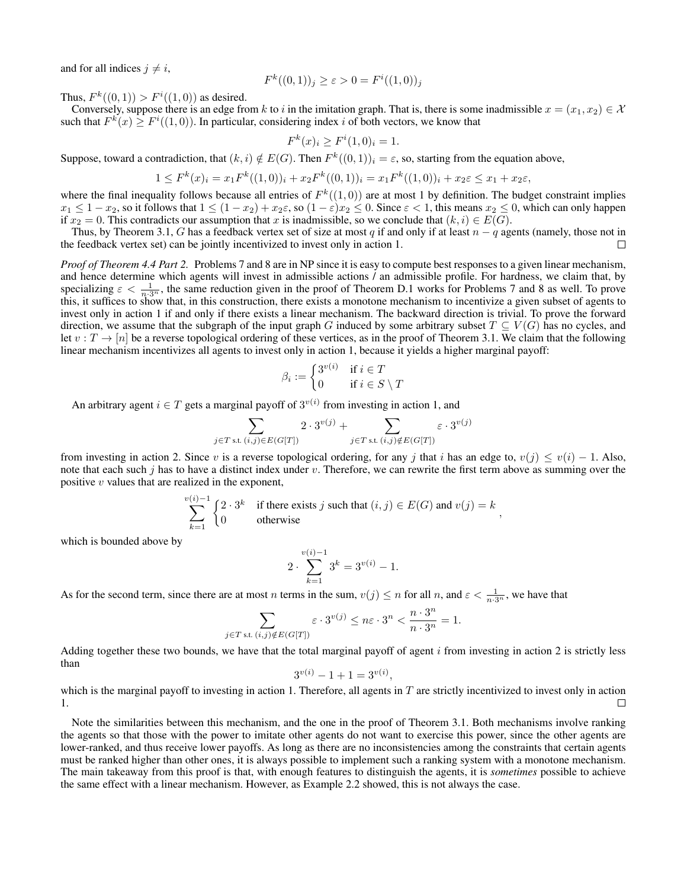and for all indices  $j \neq i$ ,

$$
F^{k}((0,1))_{j} \geq \varepsilon > 0 = F^{i}((1,0))_{j}
$$

Thus,  $F^k((0,1)) > F^i((1,0))$  as desired.

Conversely, suppose there is an edge from k to i in the imitation graph. That is, there is some inadmissible  $x = (x_1, x_2) \in \mathcal{X}$ such that  $F^k(x) \geq F^i((1,0))$ . In particular, considering index i of both vectors, we know that

$$
F^{k}(x)_{i} \ge F^{i}(1,0)_{i} = 1.
$$

Suppose, toward a contradiction, that  $(k, i) \notin E(G)$ . Then  $F^k((0, 1))_i = \varepsilon$ , so, starting from the equation above,

$$
1 \le F^k(x)_i = x_1 F^k((1,0))_i + x_2 F^k((0,1))_i = x_1 F^k((1,0))_i + x_2 \varepsilon \le x_1 + x_2 \varepsilon,
$$

where the final inequality follows because all entries of  $F^k((1,0))$  are at most 1 by definition. The budget constraint implies  $x_1 \leq 1 - x_2$ , so it follows that  $1 \leq (1 - x_2) + x_2 \varepsilon$ , so  $(1 - \varepsilon)x_2 \leq 0$ . Since  $\varepsilon < 1$ , this means  $x_2 \leq 0$ , which can only happen if  $x_2 = 0$ . This contradicts our assumption that x is inadmissible, so we conclude that  $(k, i) \in E(G)$ .

Thus, by Theorem 3.1, G has a feedback vertex set of size at most q if and only if at least  $n - q$  agents (namely, those not in the feedback vertex set) can be jointly incentivized to invest only in action 1. П

*Proof of Theorem 4.4 Part 2.* Problems 7 and 8 are in NP since it is easy to compute best responses to a given linear mechanism, and hence determine which agents will invest in admissible actions / an admissible profile. For hardness, we claim that, by specializing  $\varepsilon < \frac{1}{n \cdot 3^n}$ , the same reduction given in the proof of Theorem D.1 works for Problems 7 and 8 as well. To prove this, it suffices to show that, in this construction, there exists a monotone mechanism to incentivize a given subset of agents to invest only in action 1 if and only if there exists a linear mechanism. The backward direction is trivial. To prove the forward direction, we assume that the subgraph of the input graph G induced by some arbitrary subset  $T \subseteq V(G)$  has no cycles, and let  $v : T \to [n]$  be a reverse topological ordering of these vertices, as in the proof of Theorem 3.1. We claim that the following linear mechanism incentivizes all agents to invest only in action 1, because it yields a higher marginal payoff:

$$
\beta_i:=\begin{cases} 3^{v(i)} & \text{if } i\in T\\ 0 & \text{if } i\in S\setminus T\end{cases}
$$

An arbitrary agent  $i \in T$  gets a marginal payoff of  $3^{v(i)}$  from investing in action 1, and

$$
\sum_{j \in T \text{ s.t. } (i,j) \in E(G[T])} 2 \cdot 3^{v(j)} + \sum_{j \in T \text{ s.t. } (i,j) \notin E(G[T])} \varepsilon \cdot 3^{v(j)}
$$

from investing in action 2. Since v is a reverse topological ordering, for any j that i has an edge to,  $v(j) \le v(i) - 1$ . Also, note that each such j has to have a distinct index under  $v$ . Therefore, we can rewrite the first term above as summing over the positive  $v$  values that are realized in the exponent,

$$
\sum_{k=1}^{v(i)-1} \begin{cases} 2 \cdot 3^k & \text{if there exists } j \text{ such that } (i,j) \in E(G) \text{ and } v(j) = k \\ 0 & \text{otherwise} \end{cases}
$$

which is bounded above by

$$
2 \cdot \sum_{k=1}^{v(i)-1} 3^k = 3^{v(i)} - 1.
$$

As for the second term, since there are at most n terms in the sum,  $v(j) \le n$  for all n, and  $\varepsilon < \frac{1}{n \cdot 3^n}$ , we have that

$$
\sum_{j \in T \text{ s.t. } (i,j) \notin E(G[T])} \varepsilon \cdot 3^{v(j)} \le n\varepsilon \cdot 3^n < \frac{n \cdot 3^n}{n \cdot 3^n} = 1.
$$

Adding together these two bounds, we have that the total marginal payoff of agent  $i$  from investing in action 2 is strictly less than

$$
3^{v(i)} - 1 + 1 = 3^{v(i)},
$$

which is the marginal payoff to investing in action 1. Therefore, all agents in  $T$  are strictly incentivized to invest only in action 1.  $\Box$ 

Note the similarities between this mechanism, and the one in the proof of Theorem 3.1. Both mechanisms involve ranking the agents so that those with the power to imitate other agents do not want to exercise this power, since the other agents are lower-ranked, and thus receive lower payoffs. As long as there are no inconsistencies among the constraints that certain agents must be ranked higher than other ones, it is always possible to implement such a ranking system with a monotone mechanism. The main takeaway from this proof is that, with enough features to distinguish the agents, it is *sometimes* possible to achieve the same effect with a linear mechanism. However, as Example 2.2 showed, this is not always the case.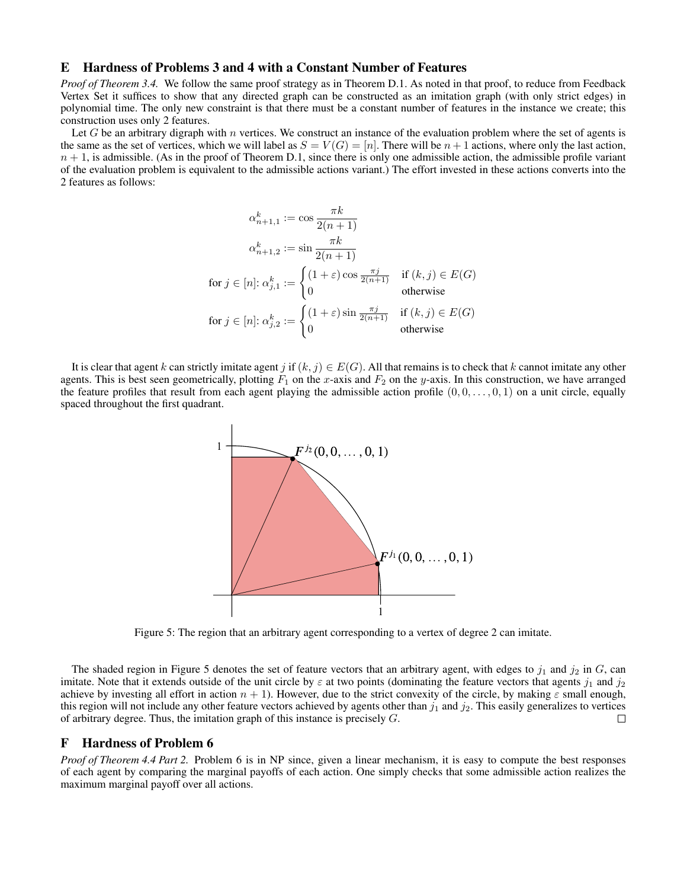## E Hardness of Problems 3 and 4 with a Constant Number of Features

*Proof of Theorem 3.4.* We follow the same proof strategy as in Theorem D.1. As noted in that proof, to reduce from Feedback Vertex Set it suffices to show that any directed graph can be constructed as an imitation graph (with only strict edges) in polynomial time. The only new constraint is that there must be a constant number of features in the instance we create; this construction uses only 2 features.

Let G be an arbitrary digraph with n vertices. We construct an instance of the evaluation problem where the set of agents is the same as the set of vertices, which we will label as  $S = V(G) = [n]$ . There will be  $n + 1$  actions, where only the last action,  $n + 1$ , is admissible. (As in the proof of Theorem D.1, since there is only one admissible action, the admissible profile variant of the evaluation problem is equivalent to the admissible actions variant.) The effort invested in these actions converts into the 2 features as follows:

$$
\alpha_{n+1,1}^k := \cos \frac{\pi k}{2(n+1)}
$$
  
\n
$$
\alpha_{n+1,2}^k := \sin \frac{\pi k}{2(n+1)}
$$
  
\nfor  $j \in [n]: \alpha_{j,1}^k := \begin{cases} (1+\varepsilon)\cos \frac{\pi j}{2(n+1)} & \text{if } (k,j) \in E(G) \\ 0 & \text{otherwise} \end{cases}$   
\nfor  $j \in [n]: \alpha_{j,2}^k := \begin{cases} (1+\varepsilon)\sin \frac{\pi j}{2(n+1)} & \text{if } (k,j) \in E(G) \\ 0 & \text{otherwise} \end{cases}$ 

It is clear that agent k can strictly imitate agent j if  $(k, j) \in E(G)$ . All that remains is to check that k cannot imitate any other agents. This is best seen geometrically, plotting  $F_1$  on the x-axis and  $F_2$  on the y-axis. In this construction, we have arranged the feature profiles that result from each agent playing the admissible action profile  $(0, 0, \ldots, 0, 1)$  on a unit circle, equally spaced throughout the first quadrant.



Figure 5: The region that an arbitrary agent corresponding to a vertex of degree 2 can imitate.

The shaded region in Figure 5 denotes the set of feature vectors that an arbitrary agent, with edges to  $j_1$  and  $j_2$  in  $G$ , can imitate. Note that it extends outside of the unit circle by  $\varepsilon$  at two points (dominating the feature vectors that agents  $j_1$  and  $j_2$ achieve by investing all effort in action  $n + 1$ ). However, due to the strict convexity of the circle, by making  $\varepsilon$  small enough, this region will not include any other feature vectors achieved by agents other than  $j_1$  and  $j_2$ . This easily generalizes to vertices of arbitrary degree. Thus, the imitation graph of this instance is precisely  $G$ .  $\Box$ 

## F Hardness of Problem 6

*Proof of Theorem 4.4 Part 2.* Problem 6 is in NP since, given a linear mechanism, it is easy to compute the best responses of each agent by comparing the marginal payoffs of each action. One simply checks that some admissible action realizes the maximum marginal payoff over all actions.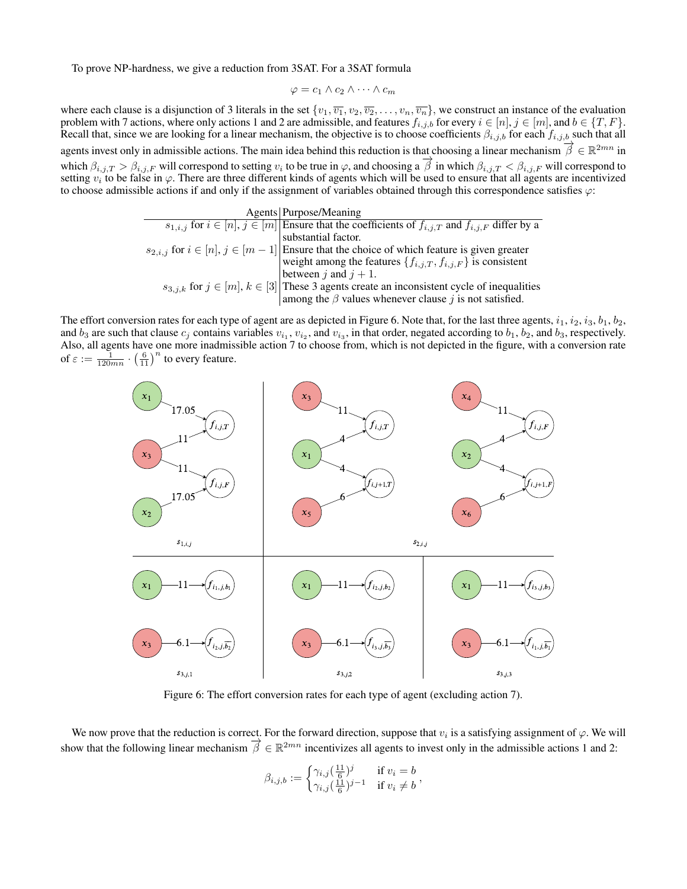To prove NP-hardness, we give a reduction from 3SAT. For a 3SAT formula

$$
\varphi = c_1 \wedge c_2 \wedge \cdots \wedge c_m
$$

where each clause is a disjunction of 3 literals in the set  $\{v_1, \overline{v_1}, v_2, \overline{v_2}, \ldots, v_n, \overline{v_n}\}$ , we construct an instance of the evaluation problem with 7 actions, where only actions 1 and 2 are admissible, and features  $f_{i,j,b}$  for every  $i \in [n], j \in [m]$ , and  $b \in \{T, F\}$ . Recall that, since we are looking for a linear mechanism, the objective is to choose coefficients  $\beta_{i,j,b}$  for each  $f_{i,j,b}$  such that all agents invest only in admissible actions. The main idea behind this reduction is that choosing a linear mechanism  $\vec{\beta} \in \mathbb{R}^{2mn}$  in which  $\beta_{i,j,T} > \beta_{i,j,F}$  will correspond to setting  $v_i$  to be true in  $\varphi$ , and choosing a  $\vec{\beta}$  in which  $\beta_{i,j,T} < \beta_{i,j,F}$  will correspond to setting  $v_i$  to be false in  $\varphi$ . There are three different kinds of agents which will be used to ensure that all agents are incentivized to choose admissible actions if and only if the assignment of variables obtained through this correspondence satisfies  $\varphi$ :

| Agents   Purpose/Meaning                                                                                       |  |
|----------------------------------------------------------------------------------------------------------------|--|
| $s_{1,i,j}$ for $i \in [n], j \in [m]$ Ensure that the coefficients of $f_{i,j,T}$ and $f_{i,j,F}$ differ by a |  |
| substantial factor.                                                                                            |  |
| $s_{2,i,j}$ for $i \in [n], j \in [m-1]$ Ensure that the choice of which feature is given greater              |  |
| weight among the features $\{f_{i,j,T}, f_{i,j,F}\}\$ is consistent                                            |  |
| between j and $j + 1$ .                                                                                        |  |
| $s_{3,i,k}$ for $j \in [m], k \in [3]$ These 3 agents create an inconsistent cycle of inequalities             |  |
| among the $\beta$ values whenever clause j is not satisfied.                                                   |  |

The effort conversion rates for each type of agent are as depicted in Figure 6. Note that, for the last three agents,  $i_1$ ,  $i_2$ ,  $i_3$ ,  $b_1$ ,  $b_2$ , and  $b_3$  are such that clause  $c_j$  contains variables  $v_{i_1}, v_{i_2}$ , and  $v_{i_3}$ , in that order, negated according to  $b_1, b_2$ , and  $b_3$ , respectively. Also, all agents have one more inadmissible action 7 to choose from, which is not depicted in the figure, with a conversion rate of  $\varepsilon := \frac{1}{120mn} \cdot \left(\frac{6}{11}\right)^n$  to every feature.



Figure 6: The effort conversion rates for each type of agent (excluding action 7).

We now prove that the reduction is correct. For the forward direction, suppose that  $v_i$  is a satisfying assignment of  $\varphi$ . We will show that the following linear mechanism  $\vec{\beta} \in \mathbb{R}^{2mn}$  incentivizes all agents to invest only in the admissible actions 1 and 2:

$$
\beta_{i,j,b} := \begin{cases} \gamma_{i,j}(\frac{11}{6})^j & \text{if } v_i = b \\ \gamma_{i,j}(\frac{11}{6})^{j-1} & \text{if } v_i \neq b \end{cases},
$$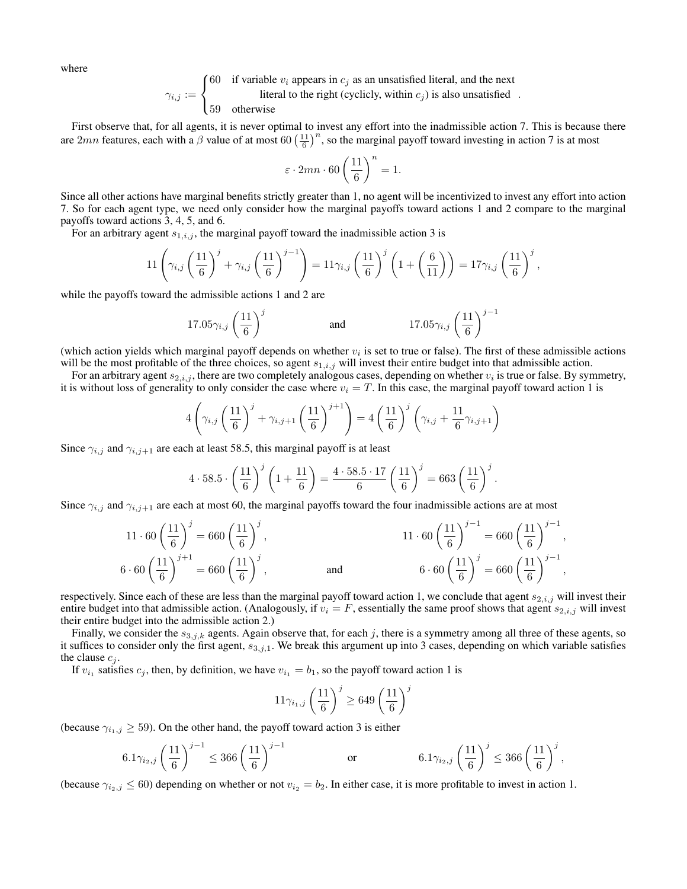where

$$
\gamma_{i,j} := \begin{cases}\n60 & \text{if variable } v_i \text{ appears in } c_j \text{ as an unsatisfied literal, and the next literal to the right (cyclicly, within } c_j) \text{ is also unsatisfied} \\
59 & \text{otherwise}\n\end{cases}
$$

First observe that, for all agents, it is never optimal to invest any effort into the inadmissible action 7. This is because there are  $2mn$  features, each with a  $\beta$  value of at most 60  $\left(\frac{11}{6}\right)^n$ , so the marginal payoff toward investing in action 7 is at most

$$
\varepsilon \cdot 2mn \cdot 60 \left(\frac{11}{6}\right)^n = 1.
$$

Since all other actions have marginal benefits strictly greater than 1, no agent will be incentivized to invest any effort into action 7. So for each agent type, we need only consider how the marginal payoffs toward actions 1 and 2 compare to the marginal payoffs toward actions 3, 4, 5, and 6.

For an arbitrary agent  $s_{1,i,j}$ , the marginal payoff toward the inadmissible action 3 is

$$
11\left(\gamma_{i,j}\left(\frac{11}{6}\right)^j + \gamma_{i,j}\left(\frac{11}{6}\right)^{j-1}\right) = 11\gamma_{i,j}\left(\frac{11}{6}\right)^j \left(1 + \left(\frac{6}{11}\right)\right) = 17\gamma_{i,j}\left(\frac{11}{6}\right)^j,
$$

while the payoffs toward the admissible actions 1 and 2 are

$$
17.05\gamma_{i,j}\left(\frac{11}{6}\right)^j \hspace{1cm}\text{and}\hspace{1cm}17.05\gamma_{i,j}\left(\frac{11}{6}\right)^{j-1}
$$

(which action yields which marginal payoff depends on whether  $v_i$  is set to true or false). The first of these admissible actions will be the most profitable of the three choices, so agent  $s_{1,i,j}$  will invest their entire budget into that admissible action.

For an arbitrary agent  $s_{2,i,j}$ , there are two completely analogous cases, depending on whether  $v_i$  is true or false. By symmetry, it is without loss of generality to only consider the case where  $v_i = T$ . In this case, the marginal payoff toward action 1 is

$$
4\left(\gamma_{i,j}\left(\frac{11}{6}\right)^j + \gamma_{i,j+1}\left(\frac{11}{6}\right)^{j+1}\right) = 4\left(\frac{11}{6}\right)^j \left(\gamma_{i,j} + \frac{11}{6}\gamma_{i,j+1}\right)
$$

Since  $\gamma_{i,j}$  and  $\gamma_{i,j+1}$  are each at least 58.5, this marginal payoff is at least

$$
4 \cdot 58.5 \cdot \left(\frac{11}{6}\right)^j \left(1 + \frac{11}{6}\right) = \frac{4 \cdot 58.5 \cdot 17}{6} \left(\frac{11}{6}\right)^j = 663 \left(\frac{11}{6}\right)^j.
$$

Since  $\gamma_{i,j}$  and  $\gamma_{i,j+1}$  are each at most 60, the marginal payoffs toward the four inadmissible actions are at most

$$
11 \cdot 60 \left(\frac{11}{6}\right)^j = 660 \left(\frac{11}{6}\right)^j,
$$
  
\n
$$
6 \cdot 60 \left(\frac{11}{6}\right)^{j+1} = 660 \left(\frac{11}{6}\right)^j,
$$
  
\nand  
\n
$$
6 \cdot 60 \left(\frac{11}{6}\right)^j = 660 \left(\frac{11}{6}\right)^{j-1},
$$
  
\n
$$
6 \cdot 60 \left(\frac{11}{6}\right)^j = 660 \left(\frac{11}{6}\right)^{j-1},
$$

respectively. Since each of these are less than the marginal payoff toward action 1, we conclude that agent  $s_{2,i,j}$  will invest their entire budget into that admissible action. (Analogously, if  $v_i = F$ , essentially the same proof shows that agent  $s_{2,i,j}$  will invest their entire budget into the admissible action 2.)

Finally, we consider the  $s_{3,j,k}$  agents. Again observe that, for each j, there is a symmetry among all three of these agents, so it suffices to consider only the first agent,  $s_{3,j,1}$ . We break this argument up into 3 cases, depending on which variable satisfies the clause  $c_i$ .

If  $v_{i_1}$  satisfies  $c_j$ , then, by definition, we have  $v_{i_1} = b_1$ , so the payoff toward action 1 is

$$
11\gamma_{i_1,j}\left(\frac{11}{6}\right)^j \ge 649\left(\frac{11}{6}\right)^j
$$

(because  $\gamma_{i_1,j} \geq 59$ ). On the other hand, the payoff toward action 3 is either

$$
6.1\gamma_{i_2,j}\left(\frac{11}{6}\right)^{j-1}\leq 366\left(\frac{11}{6}\right)^{j-1}\qquad \qquad \text{or} \qquad \qquad 6.1\gamma_{i_2,j}\left(\frac{11}{6}\right)^{j}\leq 366\left(\frac{11}{6}\right)^{j},
$$

(because  $\gamma_{i_2,j} \leq 60$ ) depending on whether or not  $v_{i_2} = b_2$ . In either case, it is more profitable to invest in action 1.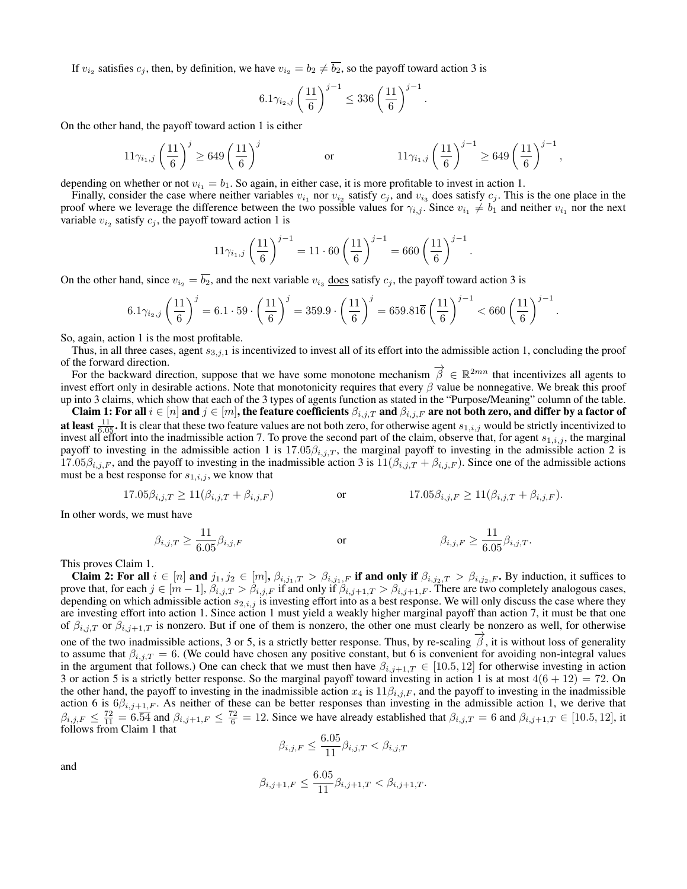If  $v_{i_2}$  satisfies  $c_j$ , then, by definition, we have  $v_{i_2} = b_2 \neq b_2$ , so the payoff toward action 3 is

$$
6.1\gamma_{i_2,j}\left(\frac{11}{6}\right)^{j-1} \le 336\left(\frac{11}{6}\right)^{j-1}.
$$

On the other hand, the payoff toward action 1 is either

$$
11\gamma_{i_1,j} \left(\frac{11}{6}\right)^j \ge 649 \left(\frac{11}{6}\right)^j \qquad \qquad \text{or} \qquad \qquad 11\gamma_{i_1,j} \left(\frac{11}{6}\right)^{j-1} \ge 649 \left(\frac{11}{6}\right)^{j-1},
$$

depending on whether or not  $v_{i_1} = b_1$ . So again, in either case, it is more profitable to invest in action 1.

Finally, consider the case where neither variables  $v_{i_1}$  nor  $v_{i_2}$  satisfy  $c_j$ , and  $v_{i_3}$  does satisfy  $c_j$ . This is the one place in the proof where we leverage the difference between the two possible values for  $\gamma_{i,j}$ . Since  $v_{i_1} \neq b_1$  and neither  $v_{i_1}$  nor the next variable  $v_{i_2}$  satisfy  $c_j$ , the payoff toward action 1 is

$$
11\gamma_{i_1,j}\left(\frac{11}{6}\right)^{j-1} = 11 \cdot 60 \left(\frac{11}{6}\right)^{j-1} = 660 \left(\frac{11}{6}\right)^{j-1}.
$$

On the other hand, since  $v_{i_2} = b_2$ , and the next variable  $v_{i_3}$  does satisfy  $c_j$ , the payoff toward action 3 is

$$
6.1\gamma_{i_2,j}\left(\frac{11}{6}\right)^j = 6.1\cdot 59\cdot \left(\frac{11}{6}\right)^j = 359.9\cdot \left(\frac{11}{6}\right)^j = 659.81\overline{6}\left(\frac{11}{6}\right)^{j-1} < 660\left(\frac{11}{6}\right)^{j-1}
$$

.

So, again, action 1 is the most profitable.

Thus, in all three cases, agent  $s_{3,i,1}$  is incentivized to invest all of its effort into the admissible action 1, concluding the proof of the forward direction.

The forward direction.<br>For the backward direction, suppose that we have some monotone mechanism  $\vec{\beta} \in \mathbb{R}^{2mn}$  that incentivizes all agents to invest effort only in desirable actions. Note that monotonicity requires that every  $\beta$  value be nonnegative. We break this proof up into 3 claims, which show that each of the 3 types of agents function as stated in the "Purpose/Meaning" column of the table.

Claim 1: For all  $i\in [n]$  and  $j\in [m]$ , the feature coefficients  $\beta_{i,j,T}$  and  $\beta_{i,j,F}$  are not both zero, and differ by a factor of **at least**  $\frac{11}{6.05}$ . It is clear that these two feature values are not both zero, for otherwise agent  $s_{1,i,j}$  would be strictly incentivized to invest all effort into the inadmissible action 7. To prove the second part of the claim, observe that, for agent  $s_{1,i,j}$ , the marginal payoff to investing in the admissible action 1 is  $17.05\beta_{i,j,T}$ , the marginal payoff to investing in the admissible action 2 is 17.05 $\beta_{i,j,F}$ , and the payoff to investing in the inadmissible action 3 is  $11(\beta_{i,j,T} + \beta_{i,j,F})$ . Since one of the admissible actions must be a best response for  $s_{1,i,j}$ , we know that

$$
17.05\beta_{i,j,T} \ge 11(\beta_{i,j,T} + \beta_{i,j,F})
$$
 or 
$$
17.05\beta_{i,j,F} \ge 11(\beta_{i,j,T} + \beta_{i,j,F}).
$$

In other words, we must have

$$
\beta_{i,j,T} \ge \frac{11}{6.05} \beta_{i,j,F}
$$
 or 
$$
\beta_{i,j,F} \ge \frac{11}{6.05} \beta_{i,j,T}.
$$

This proves Claim 1.

Claim 2: For all  $i \in [n]$  and  $j_1, j_2 \in [m], \beta_{i,j_1,T} > \beta_{i,j_1,F}$  if and only if  $\beta_{i,j_2,T} > \beta_{i,j_2,F}$ . By induction, it suffices to prove that, for each  $j \in [m-1]$ ,  $\beta_{i,j,T} > \beta_{i,j,F}$  if and only if  $\beta_{i,j+1,T} > \beta_{i,j+1,F}$ . There are two completely analogous cases, depending on which admissible action  $s_{2,i,j}$  is investing effort into as a best response. We will only discuss the case where they are investing effort into action 1. Since action 1 must yield a weakly higher marginal payoff than action 7, it must be that one of  $\beta_{i,j,T}$  or  $\beta_{i,j+1,T}$  is nonzero. But if one of them is nonzero, the other one must clearly be nonzero as well, for otherwise one of the two inadmissible actions, 3 or 5, is a strictly better response. Thus, by re-scaling  $\overrightarrow{\beta}$ , it is without loss of generality to assume that  $\beta_{i,j,T} = 6$ . (We could have chosen any positive constant, but 6 is convenient for avoiding non-integral values in the argument that follows.) One can check that we must then have  $\beta_{i,j+1,T} \in [10.5, 12]$  for otherwise investing in action 3 or action 5 is a strictly better response. So the marginal payoff toward investing in action 1 is at most  $4(6 + 12) = 72$ . On the other hand, the payoff to investing in the inadmissible action  $x_4$  is  $11\beta_{i,j,F}$ , and the payoff to investing in the inadmissible action 6 is  $6\beta_{i,j+1,F}$ . As neither of these can be better responses than investing in the admissible action 1, we derive that  $\beta_{i,j,F} \leq \frac{72}{11} = 6.\overline{54}$  and  $\beta_{i,j+1,F} \leq \frac{72}{6} = 12$ . Since we have already established that  $\beta_{i,j,T} = 6$  and  $\beta_{i,j+1,T} \in [10.5, 12]$ , it follows from Claim 1 that

$$
\beta_{i,j,F} \leq \frac{6.05}{11} \beta_{i,j,T} < \beta_{i,j,T}
$$

and

$$
\beta_{i,j+1,F} \le \frac{6.05}{11} \beta_{i,j+1,T} < \beta_{i,j+1,T}.
$$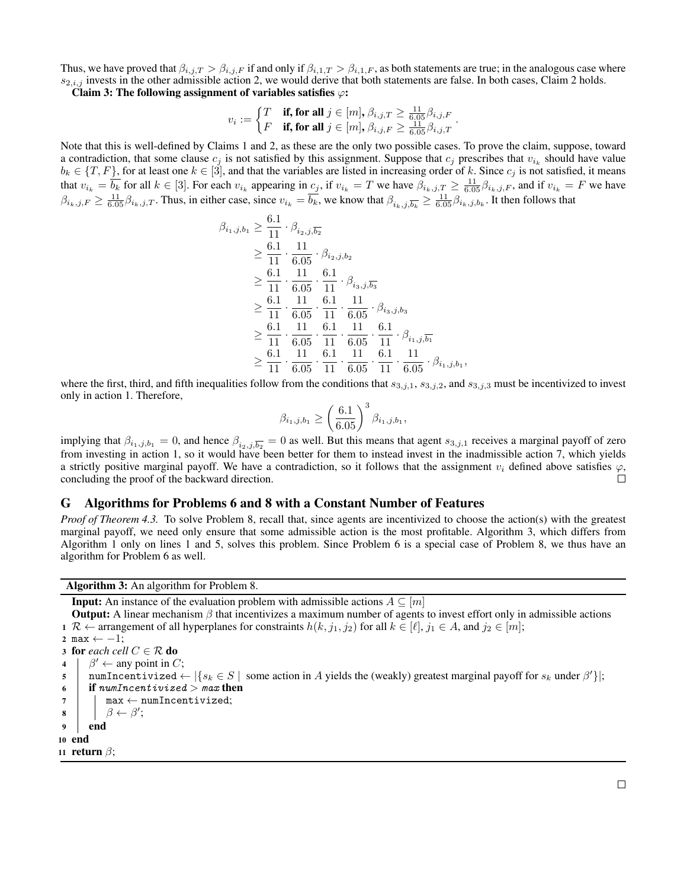Thus, we have proved that  $\beta_{i,j,T} > \beta_{i,j,F}$  if and only if  $\beta_{i,1,T} > \beta_{i,1,F}$ , as both statements are true; in the analogous case where  $s_{2,i,j}$  invests in the other admissible action 2, we would derive that both statements are false. In both cases, Claim 2 holds.

Claim 3: The following assignment of variables satisfies  $\varphi$ :

$$
v_i := \left\{\begin{matrix} T & \text{if, for all } j \in [m], \beta_{i,j,T} \geq \frac{11}{6,05} \beta_{i,j,F} \\ F & \text{if, for all } j \in [m], \beta_{i,j,F} \geq \frac{11}{6.05} \beta_{i,j,T} \end{matrix}\right.
$$

.

Note that this is well-defined by Claims 1 and 2, as these are the only two possible cases. To prove the claim, suppose, toward a contradiction, that some clause  $c_j$  is not satisfied by this assignment. Suppose that  $c_j$  prescribes that  $v_{i_k}$  should have value  $b_k \in \{T, F\}$ , for at least one  $k \in [3]$ , and that the variables are listed in increasing order of k. Since  $c_j$  is not satisfied, it means that  $v_{i_k} = \overline{b_k}$  for all  $k \in [3]$ . For each  $v_{i_k}$  appearing in  $c_j$ , if  $v_{i_k} = T$  we have  $\beta_{i_k,j,T} \ge \frac{11}{6.05} \beta_{i_k,j,F}$ , and if  $v_{i_k} = F$  we have  $\beta_{i_k,j,F} \ge \frac{11}{6.05} \beta_{i_k,j,T}$ . Thus, in either case, since  $v_{i_k} = \overline{b_k}$ , we know that  $\beta_{i_k,j,\overline{b_k}} \ge \frac{11}{6.05} \beta_{i_k,j,b_k}$ . It then follows that

$$
\beta_{i_1,j,b_1} \geq \frac{6.1}{11} \cdot \beta_{i_2,j,\overline{b_2}} \n\geq \frac{6.1}{11} \cdot \frac{11}{6.05} \cdot \beta_{i_2,j,b_2} \n\geq \frac{6.1}{11} \cdot \frac{11}{6.05} \cdot \frac{6.1}{11} \cdot \beta_{i_3,j,\overline{b_3}} \n\geq \frac{6.1}{11} \cdot \frac{11}{6.05} \cdot \frac{6.1}{11} \cdot \frac{11}{6.05} \cdot \beta_{i_3,j,b_3} \n\geq \frac{6.1}{11} \cdot \frac{11}{6.05} \cdot \frac{6.1}{11} \cdot \frac{11}{6.05} \cdot \frac{6.1}{11} \cdot \beta_{i_1,j,\overline{b_1}} \n\geq \frac{6.1}{11} \cdot \frac{11}{6.05} \cdot \frac{6.1}{11} \cdot \frac{11}{6.05} \cdot \frac{6.1}{11} \cdot \frac{11}{6.05} \cdot \beta_{i_1,j,b_1},
$$

where the first, third, and fifth inequalities follow from the conditions that  $s_{3,i,1}$ ,  $s_{3,i,2}$ , and  $s_{3,i,3}$  must be incentivized to invest only in action 1. Therefore,

$$
\beta_{i_1,j,b_1} \ge \left(\frac{6.1}{6.05}\right)^3 \beta_{i_1,j,b_1},
$$

implying that  $\beta_{i_1,j,b_1} = 0$ , and hence  $\beta_{i_2,j,b_2} = 0$  as well. But this means that agent  $s_{3,j,1}$  receives a marginal payoff of zero from investing in action 1, so it would have been better for them to instead invest in the inadmissible action 7, which yields a strictly positive marginal payoff. We have a contradiction, so it follows that the assignment  $v_i$  defined above satisfies  $\varphi$ , concluding the proof of the backward direction. concluding the proof of the backward direction.

## G Algorithms for Problems 6 and 8 with a Constant Number of Features

*Proof of Theorem 4.3.* To solve Problem 8, recall that, since agents are incentivized to choose the action(s) with the greatest marginal payoff, we need only ensure that some admissible action is the most profitable. Algorithm 3, which differs from Algorithm 1 only on lines 1 and 5, solves this problem. Since Problem 6 is a special case of Problem 8, we thus have an algorithm for Problem 6 as well.

Algorithm 3: An algorithm for Problem 8.

**Input:** An instance of the evaluation problem with admissible actions  $A \subseteq [m]$ 

**Output:** A linear mechanism  $\beta$  that incentivizes a maximum number of agents to invest effort only in admissible actions 1 R  $\leftarrow$  arrangement of all hyperplanes for constraints  $h(k, j_1, j_2)$  for all  $k \in [\ell], j_1 \in A$ , and  $j_2 \in [m];$ 

```
2 max \leftarrow -1;
3 for each cell C \in \mathcal{R} do
 4 \mid \beta' \leftarrow any point in C;
 5 numIncentivized \leftarrow |\{s_k \in S \mid \text{ some action in } A \text{ yields the (weakly) greatest marginal payoff for } s_k \text{ under } \beta'\}|;6 if numIncentivized > max then
7 | max \leftarrow numIncentivized;
 \mathbf{s} | \beta \leftarrow \beta';9 end
10 end
11 return \beta;
```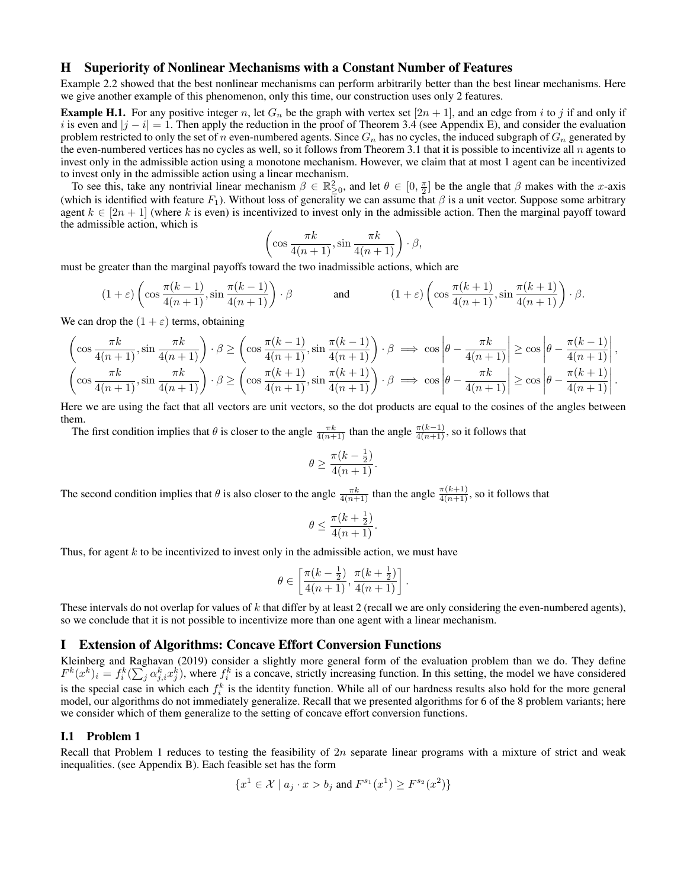## H Superiority of Nonlinear Mechanisms with a Constant Number of Features

Example 2.2 showed that the best nonlinear mechanisms can perform arbitrarily better than the best linear mechanisms. Here we give another example of this phenomenon, only this time, our construction uses only 2 features.

**Example H.1.** For any positive integer n, let  $G_n$  be the graph with vertex set  $[2n + 1]$ , and an edge from i to j if and only if i is even and  $|j - i| = 1$ . Then apply the reduction in the proof of Theorem 3.4 (see Appendix E), and consider the evaluation problem restricted to only the set of n even-numbered agents. Since  $G_n$  has no cycles, the induced subgraph of  $G_n$  generated by the even-numbered vertices has no cycles as well, so it follows from Theorem 3.1 that it is possible to incentivize all n agents to invest only in the admissible action using a monotone mechanism. However, we claim that at most 1 agent can be incentivized to invest only in the admissible action using a linear mechanism.

To see this, take any nontrivial linear mechanism  $\beta \in \mathbb{R}^2_{\geq 0}$ , and let  $\theta \in [0, \frac{\pi}{2}]$  be the angle that  $\beta$  makes with the x-axis (which is identified with feature  $F_1$ ). Without loss of generality we can assume that  $\beta$  is a unit vector. Suppose some arbitrary agent  $k \in [2n+1]$  (where k is even) is incentivized to invest only in the admissible action. Then the marginal payoff toward the admissible action, which is

$$
\left(\cos\frac{\pi k}{4(n+1)}, \sin\frac{\pi k}{4(n+1)}\right)\cdot \beta,
$$

must be greater than the marginal payoffs toward the two inadmissible actions, which are

$$
(1+\varepsilon)\left(\cos\frac{\pi(k-1)}{4(n+1)},\sin\frac{\pi(k-1)}{4(n+1)}\right)\cdot\beta\qquad\qquad\text{and}\qquad\qquad(1+\varepsilon)\left(\cos\frac{\pi(k+1)}{4(n+1)},\sin\frac{\pi(k+1)}{4(n+1)}\right)\cdot\beta.
$$

We can drop the  $(1 + \varepsilon)$  terms, obtaining

$$
\left(\cos\frac{\pi k}{4(n+1)},\sin\frac{\pi k}{4(n+1)}\right)\cdot\beta \ge \left(\cos\frac{\pi (k-1)}{4(n+1)},\sin\frac{\pi (k-1)}{4(n+1)}\right)\cdot\beta \implies \cos\left|\theta-\frac{\pi k}{4(n+1)}\right| \ge \cos\left|\theta-\frac{\pi (k-1)}{4(n+1)}\right|,
$$

$$
\left(\cos\frac{\pi k}{4(n+1)},\sin\frac{\pi k}{4(n+1)}\right)\cdot\beta \ge \left(\cos\frac{\pi (k+1)}{4(n+1)},\sin\frac{\pi (k+1)}{4(n+1)}\right)\cdot\beta \implies \cos\left|\theta-\frac{\pi k}{4(n+1)}\right| \ge \cos\left|\theta-\frac{\pi (k+1)}{4(n+1)}\right|.
$$

Here we are using the fact that all vectors are unit vectors, so the dot products are equal to the cosines of the angles between them.

The first condition implies that  $\theta$  is closer to the angle  $\frac{\pi k}{4(n+1)}$  than the angle  $\frac{\pi(k-1)}{4(n+1)}$ , so it follows that

$$
\theta \ge \frac{\pi (k - \frac{1}{2})}{4(n+1)}.
$$

The second condition implies that  $\theta$  is also closer to the angle  $\frac{\pi k}{4(n+1)}$  than the angle  $\frac{\pi(k+1)}{4(n+1)}$ , so it follows that

$$
\theta \le \frac{\pi (k+\frac{1}{2})}{4(n+1)}.
$$

Thus, for agent  $k$  to be incentivized to invest only in the admissible action, we must have

$$
\theta\in\left[\frac{\pi(k-\frac12)}{4(n+1)},\frac{\pi(k+\frac12)}{4(n+1)}\right].
$$

These intervals do not overlap for values of k that differ by at least 2 (recall we are only considering the even-numbered agents), so we conclude that it is not possible to incentivize more than one agent with a linear mechanism.

## I Extension of Algorithms: Concave Effort Conversion Functions

Kleinberg and Raghavan (2019) consider a slightly more general form of the evaluation problem than we do. They define  $F^k(x^k)_i = f_i^k(\sum_j \alpha_{j,i}^k x_j^k)$ , where  $f_i^k$  is a concave, strictly increasing function. In this setting, the model we have considered is the special case in which each  $f_i^k$  is the identity function. While all of our hardness results also hold for the more general model, our algorithms do not immediately generalize. Recall that we presented algorithms for 6 of the 8 problem variants; here we consider which of them generalize to the setting of concave effort conversion functions.

#### I.1 Problem 1

Recall that Problem 1 reduces to testing the feasibility of  $2n$  separate linear programs with a mixture of strict and weak inequalities. (see Appendix B). Each feasible set has the form

$$
\{x^1 \in \mathcal{X} \mid a_j \cdot x > b_j \text{ and } F^{s_1}(x^1) \ge F^{s_2}(x^2)\}
$$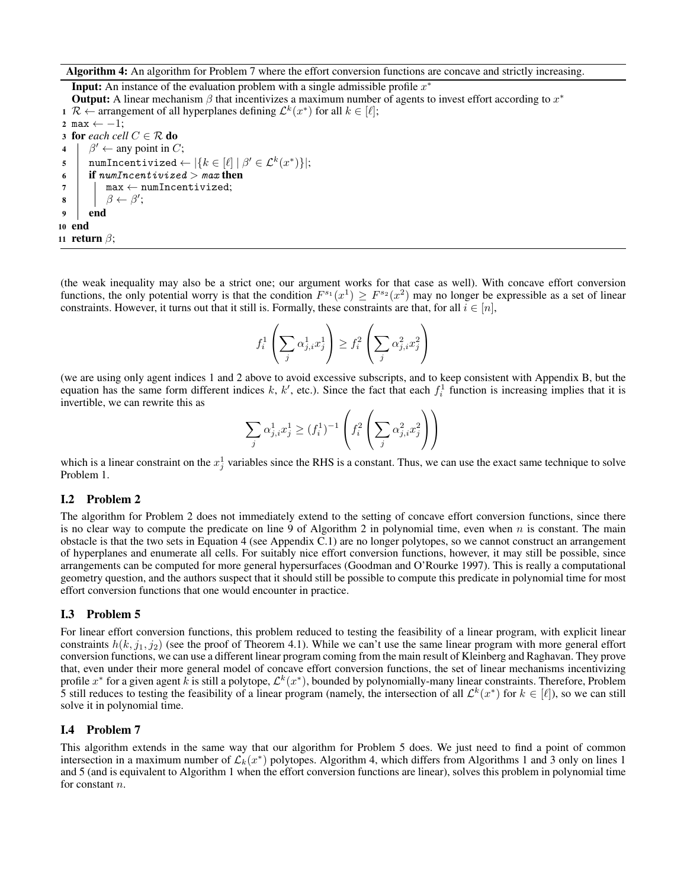Algorithm 4: An algorithm for Problem 7 where the effort conversion functions are concave and strictly increasing.

**Input:** An instance of the evaluation problem with a single admissible profile  $x^*$ **Output:** A linear mechanism  $\beta$  that incentivizes a maximum number of agents to invest effort according to  $x^*$ 1 R ← arrangement of all hyperplanes defining  $\mathcal{L}^k(x^*)$  for all  $k \in [\ell];$ 2 max  $\leftarrow -1$ ; 3 for *each cell*  $C \in \mathcal{R}$  do 4  $\mid \beta' \leftarrow$  any point in C;  $\mathsf{s} \quad | \quad \text{number} \ \text{numerical} \gets |\{k \in [\ell] \ | \ \beta' \in \mathcal{L}^k(x^*)\} |;$ 6 if numIncentivized > max then  $7$  | max  $\leftarrow$  numIncentivized;  $\mathbf{s}$  |  $\beta \leftarrow \beta';$ <sup>9</sup> end <sup>10</sup> end 11 return  $\beta$ ;

(the weak inequality may also be a strict one; our argument works for that case as well). With concave effort conversion functions, the only potential worry is that the condition  $F^{s_1}(x^1) \geq F^{s_2}(x^2)$  may no longer be expressible as a set of linear constraints. However, it turns out that it still is. Formally, these constraints are that, for all  $i \in [n]$ ,

$$
f^1_i\left(\sum_j \alpha_{j,i}^1 x^1_j\right) \geq f^2_i\left(\sum_j \alpha_{j,i}^2 x^2_j\right)
$$

(we are using only agent indices 1 and 2 above to avoid excessive subscripts, and to keep consistent with Appendix B, but the equation has the same form different indices k, k', etc.). Since the fact that each  $f_i^1$  function is increasing implies that it is invertible, we can rewrite this as

$$
\sum_j \alpha_{j,i}^1 x_j^1 \ge (f_i^1)^{-1} \left(f_i^2 \left(\sum_j \alpha_{j,i}^2 x_j^2\right)\right)
$$

which is a linear constraint on the  $x_j^1$  variables since the RHS is a constant. Thus, we can use the exact same technique to solve Problem 1.

## I.2 Problem 2

The algorithm for Problem 2 does not immediately extend to the setting of concave effort conversion functions, since there is no clear way to compute the predicate on line 9 of Algorithm 2 in polynomial time, even when  $n$  is constant. The main obstacle is that the two sets in Equation 4 (see Appendix C.1) are no longer polytopes, so we cannot construct an arrangement of hyperplanes and enumerate all cells. For suitably nice effort conversion functions, however, it may still be possible, since arrangements can be computed for more general hypersurfaces (Goodman and O'Rourke 1997). This is really a computational geometry question, and the authors suspect that it should still be possible to compute this predicate in polynomial time for most effort conversion functions that one would encounter in practice.

## I.3 Problem 5

For linear effort conversion functions, this problem reduced to testing the feasibility of a linear program, with explicit linear constraints  $h(k, j_1, j_2)$  (see the proof of Theorem 4.1). While we can't use the same linear program with more general effort conversion functions, we can use a different linear program coming from the main result of Kleinberg and Raghavan. They prove that, even under their more general model of concave effort conversion functions, the set of linear mechanisms incentivizing profile  $x^*$  for a given agent k is still a polytope,  $\mathcal{L}^k(x^*)$ , bounded by polynomially-many linear constraints. Therefore, Problem 5 still reduces to testing the feasibility of a linear program (namely, the intersection of all  $\mathcal{L}^k(x^*)$  for  $k \in [\ell]$ ), so we can still solve it in polynomial time.

## I.4 Problem 7

This algorithm extends in the same way that our algorithm for Problem 5 does. We just need to find a point of common intersection in a maximum number of  $\mathcal{L}_k(x^*)$  polytopes. Algorithm 4, which differs from Algorithms 1 and 3 only on lines 1 and 5 (and is equivalent to Algorithm 1 when the effort conversion functions are linear), solves this problem in polynomial time for constant *n*.